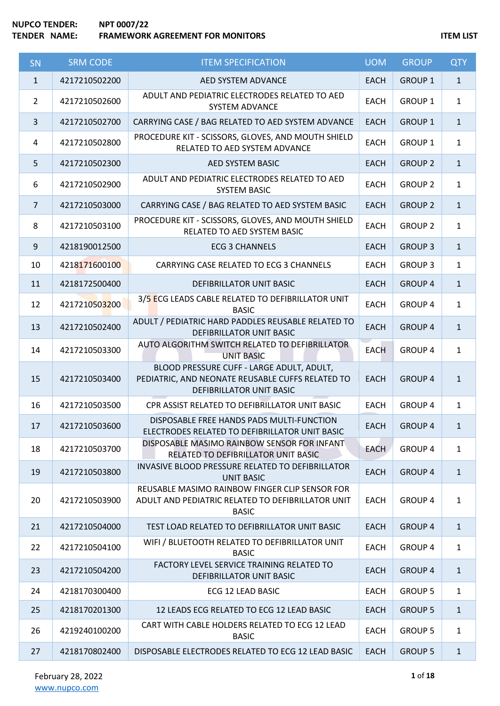| SN             | <b>SRM CODE</b> | <b>ITEM SPECIFICATION</b>                                                                                                 | <b>UOM</b>  | <b>GROUP</b>   | <b>QTY</b>   |
|----------------|-----------------|---------------------------------------------------------------------------------------------------------------------------|-------------|----------------|--------------|
| $\mathbf{1}$   | 4217210502200   | AED SYSTEM ADVANCE                                                                                                        | <b>EACH</b> | <b>GROUP 1</b> | $\mathbf{1}$ |
| $\overline{2}$ | 4217210502600   | ADULT AND PEDIATRIC ELECTRODES RELATED TO AED<br><b>SYSTEM ADVANCE</b>                                                    | <b>EACH</b> | <b>GROUP 1</b> | $\mathbf{1}$ |
| 3              | 4217210502700   | CARRYING CASE / BAG RELATED TO AED SYSTEM ADVANCE                                                                         | <b>EACH</b> | <b>GROUP 1</b> | $\mathbf{1}$ |
| 4              | 4217210502800   | PROCEDURE KIT - SCISSORS, GLOVES, AND MOUTH SHIELD<br>RELATED TO AED SYSTEM ADVANCE                                       | <b>EACH</b> | <b>GROUP 1</b> | $\mathbf{1}$ |
| 5              | 4217210502300   | AED SYSTEM BASIC                                                                                                          | <b>EACH</b> | <b>GROUP 2</b> | $\mathbf{1}$ |
| 6              | 4217210502900   | ADULT AND PEDIATRIC ELECTRODES RELATED TO AED<br><b>SYSTEM BASIC</b>                                                      | <b>EACH</b> | <b>GROUP 2</b> | $\mathbf{1}$ |
| $\overline{7}$ | 4217210503000   | CARRYING CASE / BAG RELATED TO AED SYSTEM BASIC                                                                           | <b>EACH</b> | <b>GROUP 2</b> | $\mathbf{1}$ |
| 8              | 4217210503100   | PROCEDURE KIT - SCISSORS, GLOVES, AND MOUTH SHIELD<br>RELATED TO AED SYSTEM BASIC                                         | <b>EACH</b> | <b>GROUP 2</b> | $\mathbf{1}$ |
| 9              | 4218190012500   | <b>ECG 3 CHANNELS</b>                                                                                                     | <b>EACH</b> | <b>GROUP 3</b> | $\mathbf{1}$ |
| 10             | 4218171600100   | CARRYING CASE RELATED TO ECG 3 CHANNELS                                                                                   | <b>EACH</b> | <b>GROUP 3</b> | $\mathbf{1}$ |
| 11             | 4218172500400   | <b>DEFIBRILLATOR UNIT BASIC</b>                                                                                           | <b>EACH</b> | <b>GROUP 4</b> | $\mathbf{1}$ |
| 12             | 4217210503200   | 3/5 ECG LEADS CABLE RELATED TO DEFIBRILLATOR UNIT<br><b>BASIC</b>                                                         | <b>EACH</b> | <b>GROUP 4</b> | $\mathbf{1}$ |
| 13             | 4217210502400   | ADULT / PEDIATRIC HARD PADDLES REUSABLE RELATED TO<br>DEFIBRILLATOR UNIT BASIC                                            | <b>EACH</b> | <b>GROUP 4</b> | $\mathbf{1}$ |
| 14             | 4217210503300   | AUTO ALGORITHM SWITCH RELATED TO DEFIBRILLATOR<br><b>UNIT BASIC</b>                                                       | <b>EACH</b> | <b>GROUP 4</b> | $\mathbf{1}$ |
| 15             | 4217210503400   | BLOOD PRESSURE CUFF - LARGE ADULT, ADULT,<br>PEDIATRIC, AND NEONATE REUSABLE CUFFS RELATED TO<br>DEFIBRILLATOR UNIT BASIC | <b>EACH</b> | <b>GROUP 4</b> | $\mathbf{1}$ |
| 16             | 4217210503500   | CPR ASSIST RELATED TO DEFIBRILLATOR UNIT BASIC                                                                            | <b>EACH</b> | <b>GROUP 4</b> | $\mathbf{1}$ |
| 17             | 4217210503600   | DISPOSABLE FREE HANDS PADS MULTI-FUNCTION<br>ELECTRODES RELATED TO DEFIBRILLATOR UNIT BASIC                               | <b>EACH</b> | <b>GROUP 4</b> | 1            |
| 18             | 4217210503700   | DISPOSABLE MASIMO RAINBOW SENSOR FOR INFANT<br>RELATED TO DEFIBRILLATOR UNIT BASIC                                        | <b>EACH</b> | <b>GROUP 4</b> | $\mathbf{1}$ |
| 19             | 4217210503800   | INVASIVE BLOOD PRESSURE RELATED TO DEFIBRILLATOR<br><b>UNIT BASIC</b>                                                     | <b>EACH</b> | <b>GROUP 4</b> | $\mathbf{1}$ |
| 20             | 4217210503900   | REUSABLE MASIMO RAINBOW FINGER CLIP SENSOR FOR<br>ADULT AND PEDIATRIC RELATED TO DEFIBRILLATOR UNIT<br><b>BASIC</b>       | <b>EACH</b> | <b>GROUP 4</b> | $\mathbf{1}$ |
| 21             | 4217210504000   | TEST LOAD RELATED TO DEFIBRILLATOR UNIT BASIC                                                                             | <b>EACH</b> | <b>GROUP 4</b> | $\mathbf{1}$ |
| 22             | 4217210504100   | WIFI / BLUETOOTH RELATED TO DEFIBRILLATOR UNIT<br><b>BASIC</b>                                                            | <b>EACH</b> | <b>GROUP 4</b> | $\mathbf{1}$ |
| 23             | 4217210504200   | FACTORY LEVEL SERVICE TRAINING RELATED TO<br>DEFIBRILLATOR UNIT BASIC                                                     | <b>EACH</b> | <b>GROUP 4</b> | $\mathbf{1}$ |
| 24             | 4218170300400   | ECG 12 LEAD BASIC                                                                                                         | <b>EACH</b> | <b>GROUP 5</b> | $\mathbf{1}$ |
| 25             | 4218170201300   | 12 LEADS ECG RELATED TO ECG 12 LEAD BASIC                                                                                 | <b>EACH</b> | <b>GROUP 5</b> | $\mathbf{1}$ |
| 26             | 4219240100200   | CART WITH CABLE HOLDERS RELATED TO ECG 12 LEAD<br><b>BASIC</b>                                                            | <b>EACH</b> | <b>GROUP 5</b> | $\mathbf{1}$ |
| 27             | 4218170802400   | DISPOSABLE ELECTRODES RELATED TO ECG 12 LEAD BASIC                                                                        | <b>EACH</b> | <b>GROUP 5</b> | $\mathbf{1}$ |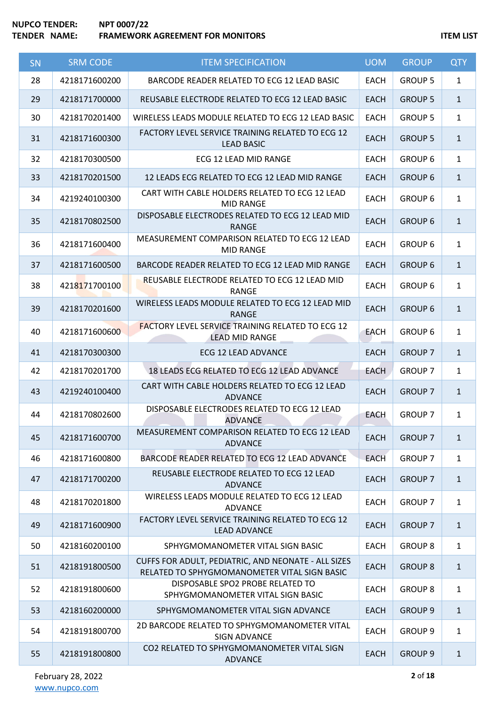| <b>SN</b> | <b>SRM CODE</b> | <b>ITEM SPECIFICATION</b>                                                                           | <b>UOM</b>  | <b>GROUP</b>   | <b>QTY</b>   |
|-----------|-----------------|-----------------------------------------------------------------------------------------------------|-------------|----------------|--------------|
| 28        | 4218171600200   | BARCODE READER RELATED TO ECG 12 LEAD BASIC                                                         | <b>EACH</b> | <b>GROUP 5</b> | $\mathbf{1}$ |
| 29        | 4218171700000   | REUSABLE ELECTRODE RELATED TO ECG 12 LEAD BASIC                                                     | <b>EACH</b> | <b>GROUP 5</b> | $\mathbf{1}$ |
| 30        | 4218170201400   | WIRELESS LEADS MODULE RELATED TO ECG 12 LEAD BASIC                                                  | <b>EACH</b> | <b>GROUP 5</b> | $\mathbf{1}$ |
| 31        | 4218171600300   | FACTORY LEVEL SERVICE TRAINING RELATED TO ECG 12<br><b>LEAD BASIC</b>                               | <b>EACH</b> | <b>GROUP 5</b> | $\mathbf{1}$ |
| 32        | 4218170300500   | ECG 12 LEAD MID RANGE                                                                               | <b>EACH</b> | <b>GROUP 6</b> | $\mathbf{1}$ |
| 33        | 4218170201500   | 12 LEADS ECG RELATED TO ECG 12 LEAD MID RANGE                                                       | <b>EACH</b> | <b>GROUP 6</b> | $\mathbf{1}$ |
| 34        | 4219240100300   | CART WITH CABLE HOLDERS RELATED TO ECG 12 LEAD<br><b>MID RANGE</b>                                  | <b>EACH</b> | <b>GROUP 6</b> | $\mathbf{1}$ |
| 35        | 4218170802500   | DISPOSABLE ELECTRODES RELATED TO ECG 12 LEAD MID<br><b>RANGE</b>                                    | <b>EACH</b> | <b>GROUP 6</b> | $\mathbf{1}$ |
| 36        | 4218171600400   | MEASUREMENT COMPARISON RELATED TO ECG 12 LEAD<br><b>MID RANGE</b>                                   | <b>EACH</b> | <b>GROUP 6</b> | $\mathbf{1}$ |
| 37        | 4218171600500   | BARCODE READER RELATED TO ECG 12 LEAD MID RANGE                                                     | <b>EACH</b> | <b>GROUP 6</b> | $\mathbf{1}$ |
| 38        | 4218171700100   | REUSABLE ELECTRODE RELATED TO ECG 12 LEAD MID<br><b>RANGE</b>                                       | <b>EACH</b> | <b>GROUP 6</b> | $\mathbf{1}$ |
| 39        | 4218170201600   | WIRELESS LEADS MODULE RELATED TO ECG 12 LEAD MID<br><b>RANGE</b>                                    | <b>EACH</b> | <b>GROUP 6</b> | $\mathbf{1}$ |
| 40        | 4218171600600   | <b>FACTORY LEVEL SERVICE TRAINING RELATED TO ECG 12</b><br><b>LEAD MID RANGE</b>                    | <b>EACH</b> | <b>GROUP 6</b> | $\mathbf{1}$ |
| 41        | 4218170300300   | ECG 12 LEAD ADVANCE                                                                                 | <b>EACH</b> | <b>GROUP 7</b> | $\mathbf{1}$ |
| 42        | 4218170201700   | 18 LEADS ECG RELATED TO ECG 12 LEAD ADVANCE                                                         | <b>EACH</b> | <b>GROUP 7</b> | $\mathbf{1}$ |
| 43        | 4219240100400   | CART WITH CABLE HOLDERS RELATED TO ECG 12 LEAD<br><b>ADVANCE</b>                                    | <b>EACH</b> | <b>GROUP 7</b> | $\mathbf{1}$ |
| 44        | 4218170802600   | DISPOSABLE ELECTRODES RELATED TO ECG 12 LEAD<br><b>ADVANCE</b>                                      | <b>EACH</b> | <b>GROUP 7</b> | $\mathbf{1}$ |
| 45        | 4218171600700   | MEASUREMENT COMPARISON RELATED TO ECG 12 LEAD<br><b>ADVANCE</b>                                     | <b>EACH</b> | <b>GROUP 7</b> | $\mathbf{1}$ |
| 46        | 4218171600800   | BARCODE READER RELATED TO ECG 12 LEAD ADVANCE                                                       | <b>EACH</b> | <b>GROUP 7</b> | $\mathbf{1}$ |
| 47        | 4218171700200   | REUSABLE ELECTRODE RELATED TO ECG 12 LEAD<br><b>ADVANCE</b>                                         | <b>EACH</b> | <b>GROUP 7</b> | $\mathbf{1}$ |
| 48        | 4218170201800   | WIRELESS LEADS MODULE RELATED TO ECG 12 LEAD<br><b>ADVANCE</b>                                      | <b>EACH</b> | <b>GROUP 7</b> | $\mathbf{1}$ |
| 49        | 4218171600900   | FACTORY LEVEL SERVICE TRAINING RELATED TO ECG 12<br><b>LEAD ADVANCE</b>                             | <b>EACH</b> | <b>GROUP 7</b> | $\mathbf{1}$ |
| 50        | 4218160200100   | SPHYGMOMANOMETER VITAL SIGN BASIC                                                                   | <b>EACH</b> | <b>GROUP 8</b> | $\mathbf{1}$ |
| 51        | 4218191800500   | CUFFS FOR ADULT, PEDIATRIC, AND NEONATE - ALL SIZES<br>RELATED TO SPHYGMOMANOMETER VITAL SIGN BASIC | <b>EACH</b> | <b>GROUP 8</b> | $\mathbf{1}$ |
| 52        | 4218191800600   | DISPOSABLE SPO2 PROBE RELATED TO<br>SPHYGMOMANOMETER VITAL SIGN BASIC                               | <b>EACH</b> | <b>GROUP 8</b> | $\mathbf{1}$ |
| 53        | 4218160200000   | SPHYGMOMANOMETER VITAL SIGN ADVANCE                                                                 | <b>EACH</b> | <b>GROUP 9</b> | $\mathbf{1}$ |
| 54        | 4218191800700   | 2D BARCODE RELATED TO SPHYGMOMANOMETER VITAL<br>SIGN ADVANCE                                        | <b>EACH</b> | <b>GROUP 9</b> | $\mathbf{1}$ |
| 55        | 4218191800800   | CO2 RELATED TO SPHYGMOMANOMETER VITAL SIGN<br><b>ADVANCE</b>                                        | <b>EACH</b> | <b>GROUP 9</b> | $\mathbf{1}$ |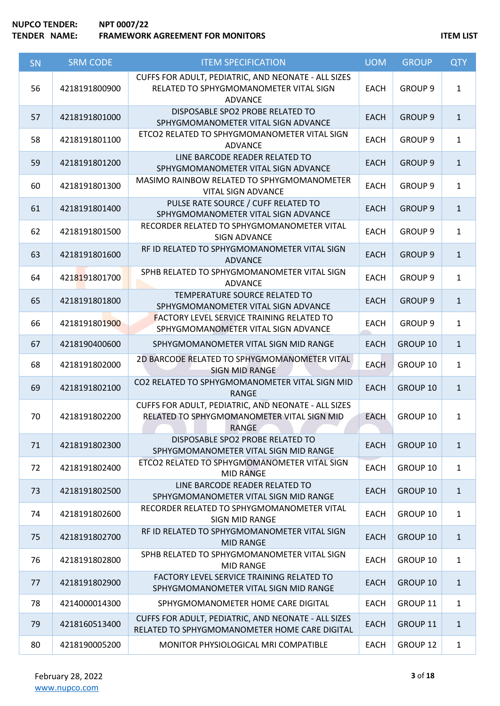| SN | <b>SRM CODE</b> | <b>ITEM SPECIFICATION</b>                                                                                         | <b>UOM</b>  | <b>GROUP</b>       | <b>QTY</b>   |
|----|-----------------|-------------------------------------------------------------------------------------------------------------------|-------------|--------------------|--------------|
| 56 | 4218191800900   | CUFFS FOR ADULT, PEDIATRIC, AND NEONATE - ALL SIZES<br>RELATED TO SPHYGMOMANOMETER VITAL SIGN<br><b>ADVANCE</b>   | <b>EACH</b> | <b>GROUP 9</b>     | $\mathbf{1}$ |
| 57 | 4218191801000   | DISPOSABLE SPO2 PROBE RELATED TO<br>SPHYGMOMANOMETER VITAL SIGN ADVANCE                                           | <b>EACH</b> | <b>GROUP 9</b>     | $\mathbf{1}$ |
| 58 | 4218191801100   | ETCO2 RELATED TO SPHYGMOMANOMETER VITAL SIGN<br><b>ADVANCE</b>                                                    | <b>EACH</b> | GROUP <sub>9</sub> | $\mathbf{1}$ |
| 59 | 4218191801200   | LINE BARCODE READER RELATED TO<br>SPHYGMOMANOMETER VITAL SIGN ADVANCE                                             | <b>EACH</b> | <b>GROUP 9</b>     | $\mathbf{1}$ |
| 60 | 4218191801300   | MASIMO RAINBOW RELATED TO SPHYGMOMANOMETER<br>VITAL SIGN ADVANCE                                                  | <b>EACH</b> | <b>GROUP 9</b>     | $\mathbf{1}$ |
| 61 | 4218191801400   | PULSE RATE SOURCE / CUFF RELATED TO<br>SPHYGMOMANOMETER VITAL SIGN ADVANCE                                        | <b>EACH</b> | <b>GROUP 9</b>     | $\mathbf{1}$ |
| 62 | 4218191801500   | RECORDER RELATED TO SPHYGMOMANOMETER VITAL<br><b>SIGN ADVANCE</b>                                                 | <b>EACH</b> | <b>GROUP 9</b>     | $\mathbf{1}$ |
| 63 | 4218191801600   | RF ID RELATED TO SPHYGMOMANOMETER VITAL SIGN<br><b>ADVANCE</b>                                                    | <b>EACH</b> | <b>GROUP 9</b>     | $\mathbf{1}$ |
| 64 | 4218191801700   | SPHB RELATED TO SPHYGMOMANOMETER VITAL SIGN<br><b>ADVANCE</b>                                                     | <b>EACH</b> | <b>GROUP 9</b>     | $\mathbf{1}$ |
| 65 | 4218191801800   | TEMPERATURE SOURCE RELATED TO<br>SPHYGMOMANOMETER VITAL SIGN ADVANCE                                              | <b>EACH</b> | <b>GROUP 9</b>     | $\mathbf{1}$ |
| 66 | 4218191801900   | <b>FACTORY LEVEL SERVICE TRAINING RELATED TO</b><br>SPHYGMOMANOMETER VITAL SIGN ADVANCE                           | <b>EACH</b> | GROUP <sub>9</sub> | $\mathbf{1}$ |
| 67 | 4218190400600   | SPHYGMOMANOMETER VITAL SIGN MID RANGE                                                                             | <b>EACH</b> | GROUP 10           | $\mathbf{1}$ |
| 68 | 4218191802000   | 2D BARCODE RELATED TO SPHYGMOMANOMETER VITAL<br><b>SIGN MID RANGE</b>                                             | <b>EACH</b> | GROUP 10           | $\mathbf{1}$ |
| 69 | 4218191802100   | CO2 RELATED TO SPHYGMOMANOMETER VITAL SIGN MID<br><b>RANGE</b>                                                    | <b>EACH</b> | <b>GROUP 10</b>    | $\mathbf{1}$ |
| 70 | 4218191802200   | CUFFS FOR ADULT, PEDIATRIC, AND NEONATE - ALL SIZES<br>RELATED TO SPHYGMOMANOMETER VITAL SIGN MID<br><b>RANGE</b> | <b>EACH</b> | GROUP 10           | $\mathbf{1}$ |
| 71 | 4218191802300   | DISPOSABLE SPO2 PROBE RELATED TO<br>SPHYGMOMANOMETER VITAL SIGN MID RANGE                                         | <b>EACH</b> | GROUP 10           | $\mathbf{1}$ |
| 72 | 4218191802400   | ETCO2 RELATED TO SPHYGMOMANOMETER VITAL SIGN<br><b>MID RANGE</b>                                                  | <b>EACH</b> | GROUP 10           | $\mathbf{1}$ |
| 73 | 4218191802500   | LINE BARCODE READER RELATED TO<br>SPHYGMOMANOMETER VITAL SIGN MID RANGE                                           | <b>EACH</b> | GROUP 10           | $\mathbf{1}$ |
| 74 | 4218191802600   | RECORDER RELATED TO SPHYGMOMANOMETER VITAL<br>SIGN MID RANGE                                                      | <b>EACH</b> | GROUP 10           | $\mathbf{1}$ |
| 75 | 4218191802700   | RF ID RELATED TO SPHYGMOMANOMETER VITAL SIGN<br><b>MID RANGE</b>                                                  | <b>EACH</b> | GROUP 10           | $\mathbf{1}$ |
| 76 | 4218191802800   | SPHB RELATED TO SPHYGMOMANOMETER VITAL SIGN<br><b>MID RANGE</b>                                                   | <b>EACH</b> | GROUP 10           | $\mathbf{1}$ |
| 77 | 4218191802900   | FACTORY LEVEL SERVICE TRAINING RELATED TO<br>SPHYGMOMANOMETER VITAL SIGN MID RANGE                                | <b>EACH</b> | GROUP 10           | $\mathbf{1}$ |
| 78 | 4214000014300   | SPHYGMOMANOMETER HOME CARE DIGITAL                                                                                | <b>EACH</b> | GROUP 11           | $\mathbf{1}$ |
| 79 | 4218160513400   | CUFFS FOR ADULT, PEDIATRIC, AND NEONATE - ALL SIZES<br>RELATED TO SPHYGMOMANOMETER HOME CARE DIGITAL              | <b>EACH</b> | GROUP 11           | $\mathbf{1}$ |
| 80 | 4218190005200   | MONITOR PHYSIOLOGICAL MRI COMPATIBLE                                                                              | <b>EACH</b> | GROUP 12           | $\mathbf{1}$ |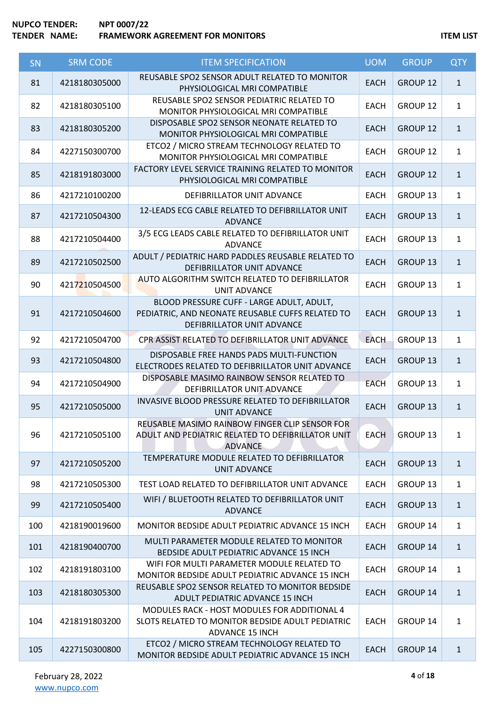# **NUPCO TENDER: NPT 0007/22 TENDER IN A FRAMEWORK AGREEMENT FOR MONITORS ITEM LIST**

| SN  | <b>SRM CODE</b> | <b>ITEM SPECIFICATION</b>                                                                                                         | <b>UOM</b>  | <b>GROUP</b>        | <b>QTY</b>   |
|-----|-----------------|-----------------------------------------------------------------------------------------------------------------------------------|-------------|---------------------|--------------|
| 81  | 4218180305000   | REUSABLE SPO2 SENSOR ADULT RELATED TO MONITOR<br>PHYSIOLOGICAL MRI COMPATIBLE                                                     | <b>EACH</b> | GROUP 12            | $\mathbf{1}$ |
| 82  | 4218180305100   | REUSABLE SPO2 SENSOR PEDIATRIC RELATED TO<br>MONITOR PHYSIOLOGICAL MRI COMPATIBLE                                                 | <b>EACH</b> | GROUP 12            | $\mathbf{1}$ |
| 83  | 4218180305200   | DISPOSABLE SPO2 SENSOR NEONATE RELATED TO<br>MONITOR PHYSIOLOGICAL MRI COMPATIBLE                                                 | <b>EACH</b> | GROUP 12            | $\mathbf{1}$ |
| 84  | 4227150300700   | ETCO2 / MICRO STREAM TECHNOLOGY RELATED TO<br>MONITOR PHYSIOLOGICAL MRI COMPATIBLE                                                | <b>EACH</b> | GROUP 12            | $\mathbf{1}$ |
| 85  | 4218191803000   | FACTORY LEVEL SERVICE TRAINING RELATED TO MONITOR<br>PHYSIOLOGICAL MRI COMPATIBLE                                                 | <b>EACH</b> | GROUP <sub>12</sub> | $\mathbf{1}$ |
| 86  | 4217210100200   | DEFIBRILLATOR UNIT ADVANCE                                                                                                        | <b>EACH</b> | GROUP 13            | $\mathbf{1}$ |
| 87  | 4217210504300   | 12-LEADS ECG CABLE RELATED TO DEFIBRILLATOR UNIT<br><b>ADVANCE</b>                                                                | <b>EACH</b> | GROUP 13            | $\mathbf{1}$ |
| 88  | 4217210504400   | 3/5 ECG LEADS CABLE RELATED TO DEFIBRILLATOR UNIT<br><b>ADVANCE</b>                                                               | <b>EACH</b> | GROUP 13            | $\mathbf{1}$ |
| 89  | 4217210502500   | ADULT / PEDIATRIC HARD PADDLES REUSABLE RELATED TO<br>DEFIBRILLATOR UNIT ADVANCE                                                  | <b>EACH</b> | GROUP 13            | $\mathbf{1}$ |
| 90  | 4217210504500   | AUTO ALGORITHM SWITCH RELATED TO DEFIBRILLATOR<br><b>UNIT ADVANCE</b>                                                             | <b>EACH</b> | GROUP <sub>13</sub> | $\mathbf{1}$ |
| 91  | 4217210504600   | BLOOD PRESSURE CUFF - LARGE ADULT, ADULT,<br>PEDIATRIC, AND NEONATE REUSABLE CUFFS RELATED TO<br>DEFIBRILLATOR UNIT ADVANCE       | <b>EACH</b> | GROUP 13            | $\mathbf{1}$ |
| 92  | 4217210504700   | CPR ASSIST RELATED TO DEFIBRILLATOR UNIT ADVANCE                                                                                  | <b>EACH</b> | GROUP 13            | $\mathbf{1}$ |
| 93  | 4217210504800   | DISPOSABLE FREE HANDS PADS MULTI-FUNCTION<br>ELECTRODES RELATED TO DEFIBRILLATOR UNIT ADVANCE                                     | <b>EACH</b> | GROUP 13            | $\mathbf{1}$ |
| 94  | 4217210504900   | DISPOSABLE MASIMO RAINBOW SENSOR RELATED TO<br>DEFIBRILLATOR UNIT ADVANCE                                                         | <b>EACH</b> | GROUP 13            | $\mathbf{1}$ |
| 95  | 4217210505000   | INVASIVE BLOOD PRESSURE RELATED TO DEFIBRILLATOR<br><b>UNIT ADVANCE</b>                                                           | <b>EACH</b> | GROUP <sub>13</sub> | $\mathbf{1}$ |
| 96  | 4217210505100   | REUSABLE MASIMO RAINBOW FINGER CLIP SENSOR FOR<br>ADULT AND PEDIATRIC RELATED TO DEFIBRILLATOR UNIT<br><b>ADVANCE</b>             | <b>EACH</b> | GROUP <sub>13</sub> | $\mathbf{1}$ |
| 97  | 4217210505200   | TEMPERATURE MODULE RELATED TO DEFIBRILLATOR<br><b>UNIT ADVANCE</b>                                                                | <b>EACH</b> | GROUP 13            | $\mathbf{1}$ |
| 98  | 4217210505300   | TEST LOAD RELATED TO DEFIBRILLATOR UNIT ADVANCE                                                                                   | <b>EACH</b> | GROUP 13            | $\mathbf{1}$ |
| 99  | 4217210505400   | WIFI / BLUETOOTH RELATED TO DEFIBRILLATOR UNIT<br><b>ADVANCE</b>                                                                  | <b>EACH</b> | <b>GROUP 13</b>     | $\mathbf{1}$ |
| 100 | 4218190019600   | MONITOR BEDSIDE ADULT PEDIATRIC ADVANCE 15 INCH                                                                                   | <b>EACH</b> | GROUP 14            | $\mathbf{1}$ |
| 101 | 4218190400700   | MULTI PARAMETER MODULE RELATED TO MONITOR<br>BEDSIDE ADULT PEDIATRIC ADVANCE 15 INCH                                              | <b>EACH</b> | GROUP 14            | $\mathbf{1}$ |
| 102 | 4218191803100   | WIFI FOR MULTI PARAMETER MODULE RELATED TO<br>MONITOR BEDSIDE ADULT PEDIATRIC ADVANCE 15 INCH                                     | <b>EACH</b> | GROUP 14            | $\mathbf{1}$ |
| 103 | 4218180305300   | REUSABLE SPO2 SENSOR RELATED TO MONITOR BEDSIDE<br>ADULT PEDIATRIC ADVANCE 15 INCH                                                | <b>EACH</b> | GROUP 14            | $\mathbf{1}$ |
| 104 | 4218191803200   | <b>MODULES RACK - HOST MODULES FOR ADDITIONAL 4</b><br>SLOTS RELATED TO MONITOR BEDSIDE ADULT PEDIATRIC<br><b>ADVANCE 15 INCH</b> | <b>EACH</b> | GROUP 14            | $\mathbf{1}$ |
| 105 | 4227150300800   | ETCO2 / MICRO STREAM TECHNOLOGY RELATED TO<br>MONITOR BEDSIDE ADULT PEDIATRIC ADVANCE 15 INCH                                     | <b>EACH</b> | <b>GROUP 14</b>     | $\mathbf{1}$ |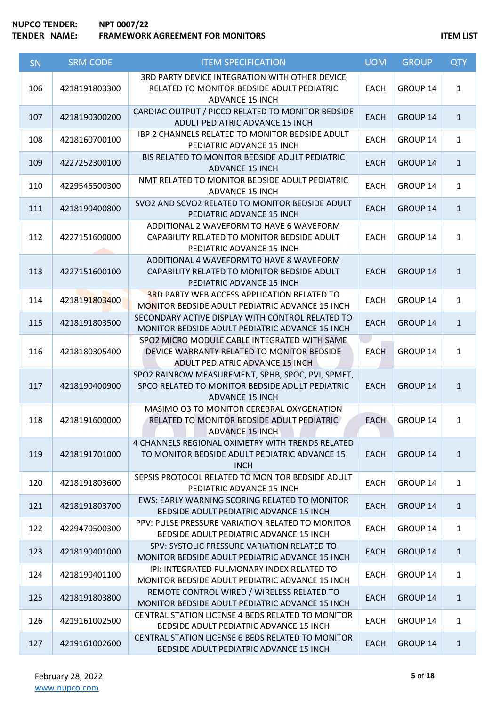| SN  | <b>SRM CODE</b> | <b>ITEM SPECIFICATION</b>                                                                                                      | <b>UOM</b>  | <b>GROUP</b>    | <b>QTY</b>   |
|-----|-----------------|--------------------------------------------------------------------------------------------------------------------------------|-------------|-----------------|--------------|
| 106 | 4218191803300   | 3RD PARTY DEVICE INTEGRATION WITH OTHER DEVICE<br>RELATED TO MONITOR BEDSIDE ADULT PEDIATRIC<br><b>ADVANCE 15 INCH</b>         | <b>EACH</b> | GROUP 14        | $\mathbf{1}$ |
| 107 | 4218190300200   | CARDIAC OUTPUT / PICCO RELATED TO MONITOR BEDSIDE<br>ADULT PEDIATRIC ADVANCE 15 INCH                                           | <b>EACH</b> | GROUP 14        | $\mathbf{1}$ |
| 108 | 4218160700100   | IBP 2 CHANNELS RELATED TO MONITOR BEDSIDE ADULT<br>PEDIATRIC ADVANCE 15 INCH                                                   | <b>EACH</b> | GROUP 14        | $\mathbf{1}$ |
| 109 | 4227252300100   | BIS RELATED TO MONITOR BEDSIDE ADULT PEDIATRIC<br><b>ADVANCE 15 INCH</b>                                                       | <b>EACH</b> | GROUP 14        | $\mathbf{1}$ |
| 110 | 4229546500300   | NMT RELATED TO MONITOR BEDSIDE ADULT PEDIATRIC<br><b>ADVANCE 15 INCH</b>                                                       | <b>EACH</b> | GROUP 14        | $\mathbf{1}$ |
| 111 | 4218190400800   | SVO2 AND SCVO2 RELATED TO MONITOR BEDSIDE ADULT<br>PEDIATRIC ADVANCE 15 INCH                                                   | <b>EACH</b> | <b>GROUP 14</b> | $\mathbf{1}$ |
| 112 | 4227151600000   | ADDITIONAL 2 WAVEFORM TO HAVE 6 WAVEFORM<br>CAPABILITY RELATED TO MONITOR BEDSIDE ADULT<br>PEDIATRIC ADVANCE 15 INCH           | <b>EACH</b> | GROUP 14        | $\mathbf{1}$ |
| 113 | 4227151600100   | ADDITIONAL 4 WAVEFORM TO HAVE 8 WAVEFORM<br>CAPABILITY RELATED TO MONITOR BEDSIDE ADULT<br>PEDIATRIC ADVANCE 15 INCH           | <b>EACH</b> | GROUP 14        | $\mathbf{1}$ |
| 114 | 4218191803400   | <b>3RD PARTY WEB ACCESS APPLICATION RELATED TO</b><br>MONITOR BEDSIDE ADULT PEDIATRIC ADVANCE 15 INCH                          | <b>EACH</b> | GROUP 14        | $\mathbf{1}$ |
| 115 | 4218191803500   | SECONDARY ACTIVE DISPLAY WITH CONTROL RELATED TO<br>MONITOR BEDSIDE ADULT PEDIATRIC ADVANCE 15 INCH                            | <b>EACH</b> | GROUP 14        | $\mathbf{1}$ |
| 116 | 4218180305400   | SPO2 MICRO MODULE CABLE INTEGRATED WITH SAME<br>DEVICE WARRANTY RELATED TO MONITOR BEDSIDE<br>ADULT PEDIATRIC ADVANCE 15 INCH  | <b>EACH</b> | GROUP 14        | $\mathbf{1}$ |
| 117 | 4218190400900   | SPO2 RAINBOW MEASUREMENT, SPHB, SPOC, PVI, SPMET,<br>SPCO RELATED TO MONITOR BEDSIDE ADULT PEDIATRIC<br><b>ADVANCE 15 INCH</b> | <b>EACH</b> | GROUP 14        | $\mathbf{1}$ |
| 118 | 4218191600000   | MASIMO O3 TO MONITOR CEREBRAL OXYGENATION<br>RELATED TO MONITOR BEDSIDE ADULT PEDIATRIC<br><b>ADVANCE 15 INCH</b>              | <b>EACH</b> | GROUP 14        | $\mathbf{1}$ |
| 119 | 4218191701000   | 4 CHANNELS REGIONAL OXIMETRY WITH TRENDS RELATED<br>TO MONITOR BEDSIDE ADULT PEDIATRIC ADVANCE 15<br><b>INCH</b>               | <b>EACH</b> | GROUP 14        | $\mathbf{1}$ |
| 120 | 4218191803600   | SEPSIS PROTOCOL RELATED TO MONITOR BEDSIDE ADULT<br>PEDIATRIC ADVANCE 15 INCH                                                  | <b>EACH</b> | GROUP 14        | $\mathbf{1}$ |
| 121 | 4218191803700   | EWS: EARLY WARNING SCORING RELATED TO MONITOR<br>BEDSIDE ADULT PEDIATRIC ADVANCE 15 INCH                                       | <b>EACH</b> | GROUP 14        | $\mathbf{1}$ |
| 122 | 4229470500300   | PPV: PULSE PRESSURE VARIATION RELATED TO MONITOR<br>BEDSIDE ADULT PEDIATRIC ADVANCE 15 INCH                                    | <b>EACH</b> | GROUP 14        | $\mathbf{1}$ |
| 123 | 4218190401000   | SPV: SYSTOLIC PRESSURE VARIATION RELATED TO<br>MONITOR BEDSIDE ADULT PEDIATRIC ADVANCE 15 INCH                                 | <b>EACH</b> | GROUP 14        | $\mathbf{1}$ |
| 124 | 4218190401100   | IPI: INTEGRATED PULMONARY INDEX RELATED TO<br>MONITOR BEDSIDE ADULT PEDIATRIC ADVANCE 15 INCH                                  | <b>EACH</b> | GROUP 14        | $\mathbf{1}$ |
| 125 | 4218191803800   | REMOTE CONTROL WIRED / WIRELESS RELATED TO<br>MONITOR BEDSIDE ADULT PEDIATRIC ADVANCE 15 INCH                                  | <b>EACH</b> | GROUP 14        | $\mathbf{1}$ |
| 126 | 4219161002500   | CENTRAL STATION LICENSE 4 BEDS RELATED TO MONITOR<br>BEDSIDE ADULT PEDIATRIC ADVANCE 15 INCH                                   | <b>EACH</b> | GROUP 14        | $\mathbf{1}$ |
| 127 | 4219161002600   | CENTRAL STATION LICENSE 6 BEDS RELATED TO MONITOR<br>BEDSIDE ADULT PEDIATRIC ADVANCE 15 INCH                                   | <b>EACH</b> | GROUP 14        | $\mathbf{1}$ |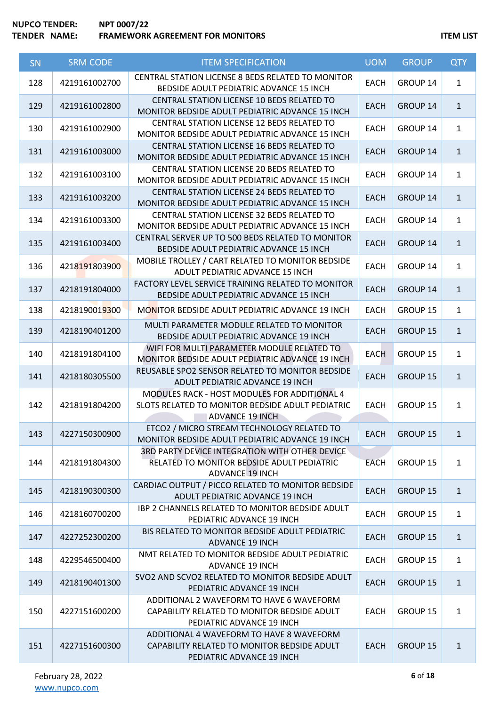# **NUPCO TENDER: NPT 0007/22 TEAMEWORK AGREEMENT FOR MONITORS TEAMEWORK AGREEMENT FOR MONITORS**

| SN  | <b>SRM CODE</b> | <b>ITEM SPECIFICATION</b>                                                                                                  | <b>UOM</b>  | <b>GROUP</b>    | <b>QTY</b>   |
|-----|-----------------|----------------------------------------------------------------------------------------------------------------------------|-------------|-----------------|--------------|
| 128 | 4219161002700   | CENTRAL STATION LICENSE 8 BEDS RELATED TO MONITOR<br>BEDSIDE ADULT PEDIATRIC ADVANCE 15 INCH                               | <b>EACH</b> | GROUP 14        | $\mathbf{1}$ |
| 129 | 4219161002800   | CENTRAL STATION LICENSE 10 BEDS RELATED TO<br>MONITOR BEDSIDE ADULT PEDIATRIC ADVANCE 15 INCH                              | <b>EACH</b> | <b>GROUP 14</b> | $\mathbf{1}$ |
| 130 | 4219161002900   | CENTRAL STATION LICENSE 12 BEDS RELATED TO<br>MONITOR BEDSIDE ADULT PEDIATRIC ADVANCE 15 INCH                              | <b>EACH</b> | GROUP 14        | $\mathbf{1}$ |
| 131 | 4219161003000   | CENTRAL STATION LICENSE 16 BEDS RELATED TO<br>MONITOR BEDSIDE ADULT PEDIATRIC ADVANCE 15 INCH                              | <b>EACH</b> | GROUP 14        | $\mathbf{1}$ |
| 132 | 4219161003100   | <b>CENTRAL STATION LICENSE 20 BEDS RELATED TO</b><br>MONITOR BEDSIDE ADULT PEDIATRIC ADVANCE 15 INCH                       | <b>EACH</b> | GROUP 14        | $\mathbf{1}$ |
| 133 | 4219161003200   | CENTRAL STATION LICENSE 24 BEDS RELATED TO<br>MONITOR BEDSIDE ADULT PEDIATRIC ADVANCE 15 INCH                              | <b>EACH</b> | GROUP 14        | $\mathbf{1}$ |
| 134 | 4219161003300   | CENTRAL STATION LICENSE 32 BEDS RELATED TO<br>MONITOR BEDSIDE ADULT PEDIATRIC ADVANCE 15 INCH                              | <b>EACH</b> | GROUP 14        | $\mathbf{1}$ |
| 135 | 4219161003400   | CENTRAL SERVER UP TO 500 BEDS RELATED TO MONITOR<br>BEDSIDE ADULT PEDIATRIC ADVANCE 15 INCH                                | <b>EACH</b> | GROUP 14        | $\mathbf{1}$ |
| 136 | 4218191803900   | MOBILE TROLLEY / CART RELATED TO MONITOR BEDSIDE<br>ADULT PEDIATRIC ADVANCE 15 INCH                                        | <b>EACH</b> | GROUP 14        | $\mathbf{1}$ |
| 137 | 4218191804000   | FACTORY LEVEL SERVICE TRAINING RELATED TO MONITOR<br>BEDSIDE ADULT PEDIATRIC ADVANCE 15 INCH                               | <b>EACH</b> | GROUP 14        | $\mathbf{1}$ |
| 138 | 4218190019300   | <b>MONITOR BEDSIDE ADULT PEDIATRIC ADVANCE 19 INCH</b>                                                                     | <b>EACH</b> | GROUP 15        | $\mathbf{1}$ |
| 139 | 4218190401200   | MULTI PARAMETER MODULE RELATED TO MONITOR<br>BEDSIDE ADULT PEDIATRIC ADVANCE 19 INCH                                       | <b>EACH</b> | <b>GROUP 15</b> | $\mathbf{1}$ |
| 140 | 4218191804100   | WIFI FOR MULTI PARAMETER MODULE RELATED TO<br>MONITOR BEDSIDE ADULT PEDIATRIC ADVANCE 19 INCH                              | <b>EACH</b> | GROUP 15        | $\mathbf{1}$ |
| 141 | 4218180305500   | REUSABLE SPO2 SENSOR RELATED TO MONITOR BEDSIDE<br>ADULT PEDIATRIC ADVANCE 19 INCH                                         | <b>EACH</b> | GROUP 15        | $\mathbf{1}$ |
| 142 | 4218191804200   | MODULES RACK - HOST MODULES FOR ADDITIONAL 4<br>SLOTS RELATED TO MONITOR BEDSIDE ADULT PEDIATRIC<br><b>ADVANCE 19 INCH</b> | <b>EACH</b> | GROUP 15        | $\mathbf{1}$ |
| 143 | 4227150300900   | ETCO2 / MICRO STREAM TECHNOLOGY RELATED TO<br>MONITOR BEDSIDE ADULT PEDIATRIC ADVANCE 19 INCH                              | <b>EACH</b> | GROUP 15        | $\mathbf{1}$ |
| 144 | 4218191804300   | 3RD PARTY DEVICE INTEGRATION WITH OTHER DEVICE<br>RELATED TO MONITOR BEDSIDE ADULT PEDIATRIC<br><b>ADVANCE 19 INCH</b>     | <b>EACH</b> | GROUP 15        | $\mathbf{1}$ |
| 145 | 4218190300300   | CARDIAC OUTPUT / PICCO RELATED TO MONITOR BEDSIDE<br>ADULT PEDIATRIC ADVANCE 19 INCH                                       | <b>EACH</b> | GROUP 15        | $\mathbf{1}$ |
| 146 | 4218160700200   | <b>IBP 2 CHANNELS RELATED TO MONITOR BEDSIDE ADULT</b><br>PEDIATRIC ADVANCE 19 INCH                                        | <b>EACH</b> | GROUP 15        | $\mathbf{1}$ |
| 147 | 4227252300200   | BIS RELATED TO MONITOR BEDSIDE ADULT PEDIATRIC<br><b>ADVANCE 19 INCH</b>                                                   | <b>EACH</b> | GROUP 15        | $\mathbf{1}$ |
| 148 | 4229546500400   | NMT RELATED TO MONITOR BEDSIDE ADULT PEDIATRIC<br>ADVANCE 19 INCH                                                          | <b>EACH</b> | GROUP 15        | $\mathbf{1}$ |
| 149 | 4218190401300   | SVO2 AND SCVO2 RELATED TO MONITOR BEDSIDE ADULT<br>PEDIATRIC ADVANCE 19 INCH                                               | <b>EACH</b> | <b>GROUP 15</b> | $\mathbf{1}$ |
| 150 | 4227151600200   | ADDITIONAL 2 WAVEFORM TO HAVE 6 WAVEFORM<br>CAPABILITY RELATED TO MONITOR BEDSIDE ADULT<br>PEDIATRIC ADVANCE 19 INCH       | <b>EACH</b> | GROUP 15        | $\mathbf{1}$ |
| 151 | 4227151600300   | ADDITIONAL 4 WAVEFORM TO HAVE 8 WAVEFORM<br>CAPABILITY RELATED TO MONITOR BEDSIDE ADULT<br>PEDIATRIC ADVANCE 19 INCH       | <b>EACH</b> | <b>GROUP 15</b> | $\mathbf{1}$ |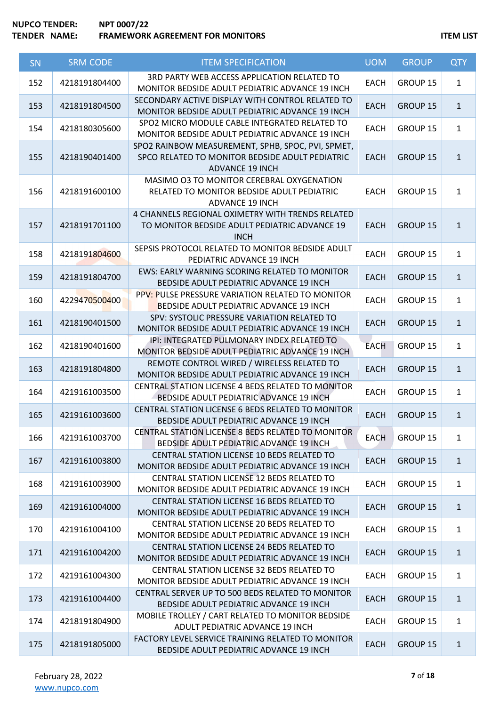| SN  | <b>SRM CODE</b> | <b>ITEM SPECIFICATION</b>                                                                                                      | <b>UOM</b>  | <b>GROUP</b>    | <b>QTY</b>   |
|-----|-----------------|--------------------------------------------------------------------------------------------------------------------------------|-------------|-----------------|--------------|
| 152 | 4218191804400   | 3RD PARTY WEB ACCESS APPLICATION RELATED TO<br>MONITOR BEDSIDE ADULT PEDIATRIC ADVANCE 19 INCH                                 | <b>EACH</b> | GROUP 15        | $\mathbf{1}$ |
| 153 | 4218191804500   | SECONDARY ACTIVE DISPLAY WITH CONTROL RELATED TO<br>MONITOR BEDSIDE ADULT PEDIATRIC ADVANCE 19 INCH                            | <b>EACH</b> | GROUP 15        | $\mathbf{1}$ |
| 154 | 4218180305600   | SPO2 MICRO MODULE CABLE INTEGRATED RELATED TO<br>MONITOR BEDSIDE ADULT PEDIATRIC ADVANCE 19 INCH                               | <b>EACH</b> | GROUP 15        | $\mathbf{1}$ |
| 155 | 4218190401400   | SPO2 RAINBOW MEASUREMENT, SPHB, SPOC, PVI, SPMET,<br>SPCO RELATED TO MONITOR BEDSIDE ADULT PEDIATRIC<br><b>ADVANCE 19 INCH</b> | <b>EACH</b> | <b>GROUP 15</b> | $\mathbf{1}$ |
| 156 | 4218191600100   | MASIMO O3 TO MONITOR CEREBRAL OXYGENATION<br>RELATED TO MONITOR BEDSIDE ADULT PEDIATRIC<br><b>ADVANCE 19 INCH</b>              | <b>EACH</b> | <b>GROUP 15</b> | $\mathbf{1}$ |
| 157 | 4218191701100   | 4 CHANNELS REGIONAL OXIMETRY WITH TRENDS RELATED<br>TO MONITOR BEDSIDE ADULT PEDIATRIC ADVANCE 19<br><b>INCH</b>               | <b>EACH</b> | GROUP 15        | $\mathbf{1}$ |
| 158 | 4218191804600   | SEPSIS PROTOCOL RELATED TO MONITOR BEDSIDE ADULT<br>PEDIATRIC ADVANCE 19 INCH                                                  | <b>EACH</b> | GROUP 15        | $\mathbf{1}$ |
| 159 | 4218191804700   | EWS: EARLY WARNING SCORING RELATED TO MONITOR<br>BEDSIDE ADULT PEDIATRIC ADVANCE 19 INCH                                       | <b>EACH</b> | <b>GROUP 15</b> | $\mathbf{1}$ |
| 160 | 4229470500400   | PPV: PULSE PRESSURE VARIATION RELATED TO MONITOR<br>BEDSIDE ADULT PEDIATRIC ADVANCE 19 INCH                                    | <b>EACH</b> | <b>GROUP 15</b> | $\mathbf{1}$ |
| 161 | 4218190401500   | SPV: SYSTOLIC PRESSURE VARIATION RELATED TO<br>MONITOR BEDSIDE ADULT PEDIATRIC ADVANCE 19 INCH                                 | <b>EACH</b> | GROUP 15        | $\mathbf{1}$ |
| 162 | 4218190401600   | IPI: INTEGRATED PULMONARY INDEX RELATED TO<br>MONITOR BEDSIDE ADULT PEDIATRIC ADVANCE 19 INCH                                  | <b>EACH</b> | GROUP 15        | $\mathbf{1}$ |
| 163 | 4218191804800   | REMOTE CONTROL WIRED / WIRELESS RELATED TO<br>MONITOR BEDSIDE ADULT PEDIATRIC ADVANCE 19 INCH                                  | <b>EACH</b> | GROUP 15        | $\mathbf{1}$ |
| 164 | 4219161003500   | CENTRAL STATION LICENSE 4 BEDS RELATED TO MONITOR<br>BEDSIDE ADULT PEDIATRIC ADVANCE 19 INCH                                   | <b>EACH</b> | GROUP 15        | $\mathbf{1}$ |
| 165 | 4219161003600   | CENTRAL STATION LICENSE 6 BEDS RELATED TO MONITOR<br>BEDSIDE ADULT PEDIATRIC ADVANCE 19 INCH                                   | <b>EACH</b> | GROUP 15        | $\mathbf{1}$ |
| 166 | 4219161003700   | CENTRAL STATION LICENSE 8 BEDS RELATED TO MONITOR<br>BEDSIDE ADULT PEDIATRIC ADVANCE 19 INCH                                   | <b>EACH</b> | GROUP 15        | $\mathbf{1}$ |
| 167 | 4219161003800   | <b>CENTRAL STATION LICENSE 10 BEDS RELATED TO</b><br>MONITOR BEDSIDE ADULT PEDIATRIC ADVANCE 19 INCH                           | <b>EACH</b> | <b>GROUP 15</b> | $\mathbf{1}$ |
| 168 | 4219161003900   | CENTRAL STATION LICENSE 12 BEDS RELATED TO<br>MONITOR BEDSIDE ADULT PEDIATRIC ADVANCE 19 INCH                                  | <b>EACH</b> | GROUP 15        | $\mathbf{1}$ |
| 169 | 4219161004000   | CENTRAL STATION LICENSE 16 BEDS RELATED TO<br>MONITOR BEDSIDE ADULT PEDIATRIC ADVANCE 19 INCH                                  | <b>EACH</b> | <b>GROUP 15</b> | $\mathbf{1}$ |
| 170 | 4219161004100   | CENTRAL STATION LICENSE 20 BEDS RELATED TO<br>MONITOR BEDSIDE ADULT PEDIATRIC ADVANCE 19 INCH                                  | <b>EACH</b> | GROUP 15        | $\mathbf{1}$ |
| 171 | 4219161004200   | <b>CENTRAL STATION LICENSE 24 BEDS RELATED TO</b><br>MONITOR BEDSIDE ADULT PEDIATRIC ADVANCE 19 INCH                           | <b>EACH</b> | GROUP 15        | $\mathbf{1}$ |
| 172 | 4219161004300   | CENTRAL STATION LICENSE 32 BEDS RELATED TO<br>MONITOR BEDSIDE ADULT PEDIATRIC ADVANCE 19 INCH                                  | <b>EACH</b> | GROUP 15        | $\mathbf{1}$ |
| 173 | 4219161004400   | CENTRAL SERVER UP TO 500 BEDS RELATED TO MONITOR<br>BEDSIDE ADULT PEDIATRIC ADVANCE 19 INCH                                    | <b>EACH</b> | <b>GROUP 15</b> | $\mathbf{1}$ |
| 174 | 4218191804900   | MOBILE TROLLEY / CART RELATED TO MONITOR BEDSIDE<br>ADULT PEDIATRIC ADVANCE 19 INCH                                            | <b>EACH</b> | GROUP 15        | $\mathbf{1}$ |
| 175 | 4218191805000   | FACTORY LEVEL SERVICE TRAINING RELATED TO MONITOR<br>BEDSIDE ADULT PEDIATRIC ADVANCE 19 INCH                                   | <b>EACH</b> | GROUP 15        | $\mathbf{1}$ |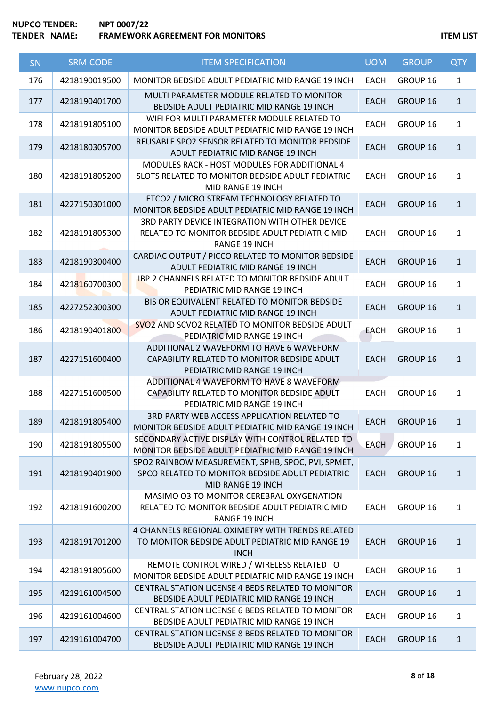| SN  | <b>SRM CODE</b> | <b>ITEM SPECIFICATION</b>                                                                                                 | <b>UOM</b>  | <b>GROUP</b> | <b>QTY</b>   |
|-----|-----------------|---------------------------------------------------------------------------------------------------------------------------|-------------|--------------|--------------|
| 176 | 4218190019500   | MONITOR BEDSIDE ADULT PEDIATRIC MID RANGE 19 INCH                                                                         | <b>EACH</b> | GROUP 16     | $\mathbf{1}$ |
| 177 | 4218190401700   | MULTI PARAMETER MODULE RELATED TO MONITOR<br>BEDSIDE ADULT PEDIATRIC MID RANGE 19 INCH                                    | <b>EACH</b> | GROUP 16     | $\mathbf{1}$ |
| 178 | 4218191805100   | WIFI FOR MULTI PARAMETER MODULE RELATED TO<br>MONITOR BEDSIDE ADULT PEDIATRIC MID RANGE 19 INCH                           | <b>EACH</b> | GROUP 16     | $\mathbf{1}$ |
| 179 | 4218180305700   | REUSABLE SPO2 SENSOR RELATED TO MONITOR BEDSIDE<br>ADULT PEDIATRIC MID RANGE 19 INCH                                      | <b>EACH</b> | GROUP 16     | $\mathbf{1}$ |
| 180 | 4218191805200   | MODULES RACK - HOST MODULES FOR ADDITIONAL 4<br>SLOTS RELATED TO MONITOR BEDSIDE ADULT PEDIATRIC<br>MID RANGE 19 INCH     | <b>EACH</b> | GROUP 16     | $\mathbf{1}$ |
| 181 | 4227150301000   | ETCO2 / MICRO STREAM TECHNOLOGY RELATED TO<br>MONITOR BEDSIDE ADULT PEDIATRIC MID RANGE 19 INCH                           | <b>EACH</b> | GROUP 16     | $\mathbf{1}$ |
| 182 | 4218191805300   | 3RD PARTY DEVICE INTEGRATION WITH OTHER DEVICE<br>RELATED TO MONITOR BEDSIDE ADULT PEDIATRIC MID<br><b>RANGE 19 INCH</b>  | <b>EACH</b> | GROUP 16     | $\mathbf{1}$ |
| 183 | 4218190300400   | CARDIAC OUTPUT / PICCO RELATED TO MONITOR BEDSIDE<br>ADULT PEDIATRIC MID RANGE 19 INCH                                    | <b>EACH</b> | GROUP 16     | $\mathbf{1}$ |
| 184 | 4218160700300   | IBP 2 CHANNELS RELATED TO MONITOR BEDSIDE ADULT<br>PEDIATRIC MID RANGE 19 INCH                                            | <b>EACH</b> | GROUP 16     | $\mathbf{1}$ |
| 185 | 4227252300300   | BIS OR EQUIVALENT RELATED TO MONITOR BEDSIDE<br>ADULT PEDIATRIC MID RANGE 19 INCH                                         | <b>EACH</b> | GROUP 16     | $\mathbf{1}$ |
| 186 | 4218190401800   | SVO2 AND SCVO2 RELATED TO MONITOR BEDSIDE ADULT<br>PEDIATRIC MID RANGE 19 INCH                                            | <b>EACH</b> | GROUP 16     | $\mathbf{1}$ |
| 187 | 4227151600400   | ADDITIONAL 2 WAVEFORM TO HAVE 6 WAVEFORM<br>CAPABILITY RELATED TO MONITOR BEDSIDE ADULT<br>PEDIATRIC MID RANGE 19 INCH    | <b>EACH</b> | GROUP 16     | $\mathbf{1}$ |
| 188 | 4227151600500   | ADDITIONAL 4 WAVEFORM TO HAVE 8 WAVEFORM<br>CAPABILITY RELATED TO MONITOR BEDSIDE ADULT<br>PEDIATRIC MID RANGE 19 INCH    | <b>EACH</b> | GROUP 16     | $\mathbf{1}$ |
| 189 | 4218191805400   | 3RD PARTY WEB ACCESS APPLICATION RELATED TO<br>MONITOR BEDSIDE ADULT PEDIATRIC MID RANGE 19 INCH                          | <b>EACH</b> | GROUP 16     | $\mathbf{1}$ |
| 190 | 4218191805500   | SECONDARY ACTIVE DISPLAY WITH CONTROL RELATED TO<br>MONITOR BEDSIDE ADULT PEDIATRIC MID RANGE 19 INCH                     | <b>EACH</b> | GROUP 16     | $\mathbf{1}$ |
| 191 | 4218190401900   | SPO2 RAINBOW MEASUREMENT, SPHB, SPOC, PVI, SPMET,<br>SPCO RELATED TO MONITOR BEDSIDE ADULT PEDIATRIC<br>MID RANGE 19 INCH | <b>EACH</b> | GROUP 16     | $\mathbf{1}$ |
| 192 | 4218191600200   | MASIMO O3 TO MONITOR CEREBRAL OXYGENATION<br>RELATED TO MONITOR BEDSIDE ADULT PEDIATRIC MID<br><b>RANGE 19 INCH</b>       | <b>EACH</b> | GROUP 16     | $\mathbf{1}$ |
| 193 | 4218191701200   | 4 CHANNELS REGIONAL OXIMETRY WITH TRENDS RELATED<br>TO MONITOR BEDSIDE ADULT PEDIATRIC MID RANGE 19<br><b>INCH</b>        | <b>EACH</b> | GROUP 16     | $\mathbf{1}$ |
| 194 | 4218191805600   | REMOTE CONTROL WIRED / WIRELESS RELATED TO<br>MONITOR BEDSIDE ADULT PEDIATRIC MID RANGE 19 INCH                           | <b>EACH</b> | GROUP 16     | $\mathbf{1}$ |
| 195 | 4219161004500   | CENTRAL STATION LICENSE 4 BEDS RELATED TO MONITOR<br>BEDSIDE ADULT PEDIATRIC MID RANGE 19 INCH                            | <b>EACH</b> | GROUP 16     | $\mathbf{1}$ |
| 196 | 4219161004600   | CENTRAL STATION LICENSE 6 BEDS RELATED TO MONITOR<br>BEDSIDE ADULT PEDIATRIC MID RANGE 19 INCH                            | <b>EACH</b> | GROUP 16     | $\mathbf{1}$ |
| 197 | 4219161004700   | CENTRAL STATION LICENSE 8 BEDS RELATED TO MONITOR<br>BEDSIDE ADULT PEDIATRIC MID RANGE 19 INCH                            | <b>EACH</b> | GROUP 16     | $\mathbf{1}$ |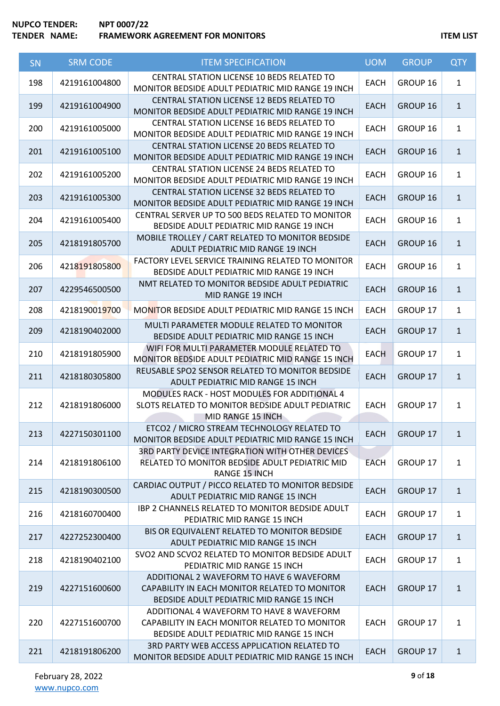## **NUPCO TENDER: NPT 0007/22 TENDER IN A FRAMEWORK AGREEMENT FOR MONITORS ITEM LIST**

| SN  | <b>SRM CODE</b>              | <b>ITEM SPECIFICATION</b>                                                                                                              | <b>UOM</b>  | <b>GROUP</b>    | <b>QTY</b>   |
|-----|------------------------------|----------------------------------------------------------------------------------------------------------------------------------------|-------------|-----------------|--------------|
| 198 | 4219161004800                | <b>CENTRAL STATION LICENSE 10 BEDS RELATED TO</b><br>MONITOR BEDSIDE ADULT PEDIATRIC MID RANGE 19 INCH                                 | <b>EACH</b> | GROUP 16        | $\mathbf{1}$ |
| 199 | 4219161004900                | CENTRAL STATION LICENSE 12 BEDS RELATED TO<br>MONITOR BEDSIDE ADULT PEDIATRIC MID RANGE 19 INCH                                        | <b>EACH</b> | GROUP 16        | $\mathbf{1}$ |
| 200 | 4219161005000                | CENTRAL STATION LICENSE 16 BEDS RELATED TO<br>MONITOR BEDSIDE ADULT PEDIATRIC MID RANGE 19 INCH                                        | <b>EACH</b> | GROUP 16        | $\mathbf{1}$ |
| 201 | 4219161005100                | CENTRAL STATION LICENSE 20 BEDS RELATED TO<br>MONITOR BEDSIDE ADULT PEDIATRIC MID RANGE 19 INCH                                        | <b>EACH</b> | GROUP 16        | $\mathbf{1}$ |
| 202 | 4219161005200                | <b>CENTRAL STATION LICENSE 24 BEDS RELATED TO</b><br>MONITOR BEDSIDE ADULT PEDIATRIC MID RANGE 19 INCH                                 | <b>EACH</b> | GROUP 16        | $\mathbf{1}$ |
| 203 | 4219161005300                | CENTRAL STATION LICENSE 32 BEDS RELATED TO<br>MONITOR BEDSIDE ADULT PEDIATRIC MID RANGE 19 INCH                                        | <b>EACH</b> | GROUP 16        | $\mathbf{1}$ |
| 204 | 4219161005400                | CENTRAL SERVER UP TO 500 BEDS RELATED TO MONITOR<br>BEDSIDE ADULT PEDIATRIC MID RANGE 19 INCH                                          | <b>EACH</b> | GROUP 16        | $\mathbf{1}$ |
| 205 | 4218191805700                | MOBILE TROLLEY / CART RELATED TO MONITOR BEDSIDE<br>ADULT PEDIATRIC MID RANGE 19 INCH                                                  | <b>EACH</b> | GROUP 16        | $\mathbf{1}$ |
| 206 | 4218191805800                | FACTORY LEVEL SERVICE TRAINING RELATED TO MONITOR<br>BEDSIDE ADULT PEDIATRIC MID RANGE 19 INCH                                         | <b>EACH</b> | GROUP 16        | $\mathbf{1}$ |
| 207 | 4229546500500                | NMT RELATED TO MONITOR BEDSIDE ADULT PEDIATRIC<br>MID RANGE 19 INCH                                                                    | <b>EACH</b> | GROUP 16        | $\mathbf{1}$ |
| 208 | 421819001 <mark>97</mark> 00 | MONITOR BEDSIDE ADULT PEDIATRIC MID RANGE 15 INCH                                                                                      | <b>EACH</b> | GROUP 17        | $\mathbf{1}$ |
| 209 | 4218190402000                | MULTI PARAMETER MODULE RELATED TO MONITOR<br>BEDSIDE ADULT PEDIATRIC MID RANGE 15 INCH                                                 | <b>EACH</b> | <b>GROUP 17</b> | $\mathbf{1}$ |
| 210 | 4218191805900                | WIFI FOR MULTI PARAMETER MODULE RELATED TO<br>MONITOR BEDSIDE ADULT PEDIATRIC MID RANGE 15 INCH                                        | <b>EACH</b> | GROUP 17        | $\mathbf{1}$ |
| 211 | 4218180305800                | REUSABLE SPO2 SENSOR RELATED TO MONITOR BEDSIDE<br>ADULT PEDIATRIC MID RANGE 15 INCH                                                   | <b>EACH</b> | <b>GROUP 17</b> | $\mathbf{1}$ |
| 212 | 4218191806000                | MODULES RACK - HOST MODULES FOR ADDITIONAL 4<br>SLOTS RELATED TO MONITOR BEDSIDE ADULT PEDIATRIC<br>MID RANGE 15 INCH                  | <b>EACH</b> | GROUP 17        | $\mathbf{1}$ |
| 213 | 4227150301100                | ETCO2 / MICRO STREAM TECHNOLOGY RELATED TO<br>MONITOR BEDSIDE ADULT PEDIATRIC MID RANGE 15 INCH                                        | <b>EACH</b> | GROUP 17        | $\mathbf{1}$ |
| 214 | 4218191806100                | 3RD PARTY DEVICE INTEGRATION WITH OTHER DEVICES<br>RELATED TO MONITOR BEDSIDE ADULT PEDIATRIC MID<br><b>RANGE 15 INCH</b>              | <b>EACH</b> | GROUP 17        | $\mathbf{1}$ |
| 215 | 4218190300500                | CARDIAC OUTPUT / PICCO RELATED TO MONITOR BEDSIDE<br>ADULT PEDIATRIC MID RANGE 15 INCH                                                 | <b>EACH</b> | <b>GROUP 17</b> | $\mathbf{1}$ |
| 216 | 4218160700400                | IBP 2 CHANNELS RELATED TO MONITOR BEDSIDE ADULT<br>PEDIATRIC MID RANGE 15 INCH                                                         | <b>EACH</b> | GROUP 17        | $\mathbf{1}$ |
| 217 | 4227252300400                | BIS OR EQUIVALENT RELATED TO MONITOR BEDSIDE<br>ADULT PEDIATRIC MID RANGE 15 INCH                                                      | <b>EACH</b> | <b>GROUP 17</b> | $\mathbf{1}$ |
| 218 | 4218190402100                | SVO2 AND SCVO2 RELATED TO MONITOR BEDSIDE ADULT<br>PEDIATRIC MID RANGE 15 INCH                                                         | <b>EACH</b> | GROUP 17        | $\mathbf{1}$ |
| 219 | 4227151600600                | ADDITIONAL 2 WAVEFORM TO HAVE 6 WAVEFORM<br>CAPABILITY IN EACH MONITOR RELATED TO MONITOR<br>BEDSIDE ADULT PEDIATRIC MID RANGE 15 INCH | <b>EACH</b> | <b>GROUP 17</b> | $\mathbf{1}$ |
| 220 | 4227151600700                | ADDITIONAL 4 WAVEFORM TO HAVE 8 WAVEFORM<br>CAPABILITY IN EACH MONITOR RELATED TO MONITOR<br>BEDSIDE ADULT PEDIATRIC MID RANGE 15 INCH | <b>EACH</b> | GROUP 17        | $\mathbf{1}$ |
| 221 | 4218191806200                | 3RD PARTY WEB ACCESS APPLICATION RELATED TO<br>MONITOR BEDSIDE ADULT PEDIATRIC MID RANGE 15 INCH                                       | <b>EACH</b> | <b>GROUP 17</b> | $\mathbf{1}$ |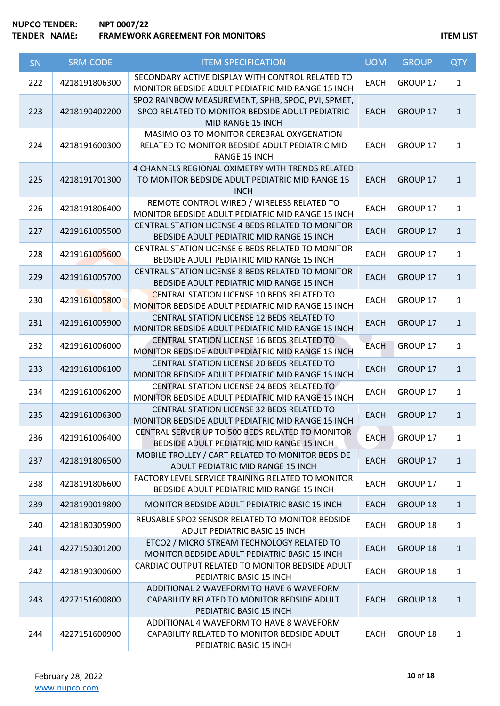# **NUPCO TENDER: NPT 0007/22 TENDER NAME:** FRAMEWORK AGREEMENT FOR MONITORS **ITEM LIST**

| SN  | <b>SRM CODE</b> | <b>ITEM SPECIFICATION</b>                                                                                                 | <b>UOM</b>  | <b>GROUP</b>    | <b>QTY</b>   |
|-----|-----------------|---------------------------------------------------------------------------------------------------------------------------|-------------|-----------------|--------------|
| 222 | 4218191806300   | SECONDARY ACTIVE DISPLAY WITH CONTROL RELATED TO<br>MONITOR BEDSIDE ADULT PEDIATRIC MID RANGE 15 INCH                     | <b>EACH</b> | GROUP 17        | $\mathbf{1}$ |
| 223 | 4218190402200   | SPO2 RAINBOW MEASUREMENT, SPHB, SPOC, PVI, SPMET,<br>SPCO RELATED TO MONITOR BEDSIDE ADULT PEDIATRIC<br>MID RANGE 15 INCH | <b>EACH</b> | GROUP 17        | $\mathbf{1}$ |
| 224 | 4218191600300   | MASIMO O3 TO MONITOR CEREBRAL OXYGENATION<br>RELATED TO MONITOR BEDSIDE ADULT PEDIATRIC MID<br><b>RANGE 15 INCH</b>       | <b>EACH</b> | GROUP 17        | $\mathbf{1}$ |
| 225 | 4218191701300   | 4 CHANNELS REGIONAL OXIMETRY WITH TRENDS RELATED<br>TO MONITOR BEDSIDE ADULT PEDIATRIC MID RANGE 15<br><b>INCH</b>        | <b>EACH</b> | GROUP 17        | $\mathbf{1}$ |
| 226 | 4218191806400   | REMOTE CONTROL WIRED / WIRELESS RELATED TO<br>MONITOR BEDSIDE ADULT PEDIATRIC MID RANGE 15 INCH                           | <b>EACH</b> | GROUP 17        | $\mathbf{1}$ |
| 227 | 4219161005500   | CENTRAL STATION LICENSE 4 BEDS RELATED TO MONITOR<br>BEDSIDE ADULT PEDIATRIC MID RANGE 15 INCH                            | <b>EACH</b> | GROUP 17        | $\mathbf{1}$ |
| 228 | 4219161005600   | CENTRAL STATION LICENSE 6 BEDS RELATED TO MONITOR<br>BEDSIDE ADULT PEDIATRIC MID RANGE 15 INCH                            | <b>EACH</b> | GROUP 17        | $\mathbf{1}$ |
| 229 | 4219161005700   | CENTRAL STATION LICENSE 8 BEDS RELATED TO MONITOR<br>BEDSIDE ADULT PEDIATRIC MID RANGE 15 INCH                            | <b>EACH</b> | GROUP 17        | $\mathbf{1}$ |
| 230 | 4219161005800   | <b>CENTRAL STATION LICENSE 10 BEDS RELATED TO</b><br>MONITOR BEDSIDE ADULT PEDIATRIC MID RANGE 15 INCH                    | <b>EACH</b> | GROUP 17        | $\mathbf{1}$ |
| 231 | 4219161005900   | CENTRAL STATION LICENSE 12 BEDS RELATED TO<br>MONITOR BEDSIDE ADULT PEDIATRIC MID RANGE 15 INCH                           | <b>EACH</b> | GROUP 17        | $\mathbf{1}$ |
| 232 | 4219161006000   | CENTRAL STATION LICENSE 16 BEDS RELATED TO<br>MONITOR BEDSIDE ADULT PEDIATRIC MID RANGE 15 INCH                           | <b>EACH</b> | GROUP 17        | $\mathbf{1}$ |
| 233 | 4219161006100   | CENTRAL STATION LICENSE 20 BEDS RELATED TO<br>MONITOR BEDSIDE ADULT PEDIATRIC MID RANGE 15 INCH                           | <b>EACH</b> | GROUP 17        | $\mathbf{1}$ |
| 234 | 4219161006200   | CENTRAL STATION LICENSE 24 BEDS RELATED TO<br>MONITOR BEDSIDE ADULT PEDIATRIC MID RANGE 15 INCH                           | <b>EACH</b> | GROUP 17        | $\mathbf{1}$ |
| 235 | 4219161006300   | CENTRAL STATION LICENSE 32 BEDS RELATED TO<br>MONITOR BEDSIDE ADULT PEDIATRIC MID RANGE 15 INCH                           | <b>EACH</b> | GROUP 17        | $\mathbf{1}$ |
| 236 | 4219161006400   | CENTRAL SERVER UP TO 500 BEDS RELATED TO MONITOR<br>BEDSIDE ADULT PEDIATRIC MID RANGE 15 INCH                             | <b>EACH</b> | GROUP 17        | $\mathbf{1}$ |
| 237 | 4218191806500   | MOBILE TROLLEY / CART RELATED TO MONITOR BEDSIDE<br>ADULT PEDIATRIC MID RANGE 15 INCH                                     | <b>EACH</b> | <b>GROUP 17</b> | $\mathbf{1}$ |
| 238 | 4218191806600   | FACTORY LEVEL SERVICE TRAINING RELATED TO MONITOR<br>BEDSIDE ADULT PEDIATRIC MID RANGE 15 INCH                            | <b>EACH</b> | GROUP 17        | $\mathbf{1}$ |
| 239 | 4218190019800   | MONITOR BEDSIDE ADULT PEDIATRIC BASIC 15 INCH                                                                             | <b>EACH</b> | <b>GROUP 18</b> | $\mathbf{1}$ |
| 240 | 4218180305900   | REUSABLE SPO2 SENSOR RELATED TO MONITOR BEDSIDE<br>ADULT PEDIATRIC BASIC 15 INCH                                          | <b>EACH</b> | GROUP 18        | $\mathbf{1}$ |
| 241 | 4227150301200   | ETCO2 / MICRO STREAM TECHNOLOGY RELATED TO<br>MONITOR BEDSIDE ADULT PEDIATRIC BASIC 15 INCH                               | <b>EACH</b> | <b>GROUP 18</b> | $\mathbf{1}$ |
| 242 | 4218190300600   | CARDIAC OUTPUT RELATED TO MONITOR BEDSIDE ADULT<br>PEDIATRIC BASIC 15 INCH                                                | <b>EACH</b> | GROUP 18        | $\mathbf{1}$ |
| 243 | 4227151600800   | ADDITIONAL 2 WAVEFORM TO HAVE 6 WAVEFORM<br>CAPABILITY RELATED TO MONITOR BEDSIDE ADULT<br>PEDIATRIC BASIC 15 INCH        | <b>EACH</b> | <b>GROUP 18</b> | $\mathbf{1}$ |
| 244 | 4227151600900   | ADDITIONAL 4 WAVEFORM TO HAVE 8 WAVEFORM<br>CAPABILITY RELATED TO MONITOR BEDSIDE ADULT<br>PEDIATRIC BASIC 15 INCH        | <b>EACH</b> | GROUP 18        | $\mathbf{1}$ |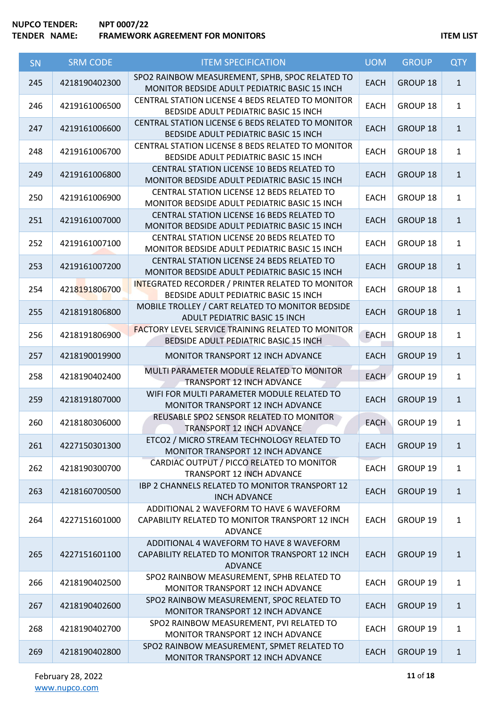# **NUPCO TENDER: NPT 0007/22 TENDER NAME:** FRAMEWORK AGREEMENT FOR MONITORS **ITEM LIST**

| SN  | <b>SRM CODE</b> | <b>ITEM SPECIFICATION</b>                                                                                     | <b>UOM</b>  | <b>GROUP</b>    | <b>QTY</b>   |
|-----|-----------------|---------------------------------------------------------------------------------------------------------------|-------------|-----------------|--------------|
| 245 | 4218190402300   | SPO2 RAINBOW MEASUREMENT, SPHB, SPOC RELATED TO<br>MONITOR BEDSIDE ADULT PEDIATRIC BASIC 15 INCH              | <b>EACH</b> | GROUP 18        | $\mathbf{1}$ |
| 246 | 4219161006500   | CENTRAL STATION LICENSE 4 BEDS RELATED TO MONITOR<br>BEDSIDE ADULT PEDIATRIC BASIC 15 INCH                    | <b>EACH</b> | GROUP 18        | $\mathbf{1}$ |
| 247 | 4219161006600   | CENTRAL STATION LICENSE 6 BEDS RELATED TO MONITOR<br>BEDSIDE ADULT PEDIATRIC BASIC 15 INCH                    | <b>EACH</b> | GROUP 18        | $\mathbf{1}$ |
| 248 | 4219161006700   | CENTRAL STATION LICENSE 8 BEDS RELATED TO MONITOR<br>BEDSIDE ADULT PEDIATRIC BASIC 15 INCH                    | <b>EACH</b> | GROUP 18        | $\mathbf{1}$ |
| 249 | 4219161006800   | CENTRAL STATION LICENSE 10 BEDS RELATED TO<br>MONITOR BEDSIDE ADULT PEDIATRIC BASIC 15 INCH                   | <b>EACH</b> | <b>GROUP 18</b> | $\mathbf{1}$ |
| 250 | 4219161006900   | CENTRAL STATION LICENSE 12 BEDS RELATED TO<br>MONITOR BEDSIDE ADULT PEDIATRIC BASIC 15 INCH                   | <b>EACH</b> | GROUP 18        | $\mathbf{1}$ |
| 251 | 4219161007000   | CENTRAL STATION LICENSE 16 BEDS RELATED TO<br>MONITOR BEDSIDE ADULT PEDIATRIC BASIC 15 INCH                   | <b>EACH</b> | <b>GROUP 18</b> | $\mathbf{1}$ |
| 252 | 4219161007100   | CENTRAL STATION LICENSE 20 BEDS RELATED TO<br>MONITOR BEDSIDE ADULT PEDIATRIC BASIC 15 INCH                   | <b>EACH</b> | GROUP 18        | $\mathbf{1}$ |
| 253 | 4219161007200   | CENTRAL STATION LICENSE 24 BEDS RELATED TO<br>MONITOR BEDSIDE ADULT PEDIATRIC BASIC 15 INCH                   | <b>EACH</b> | GROUP 18        | $\mathbf{1}$ |
| 254 | 4218191806700   | INTEGRATED RECORDER / PRINTER RELATED TO MONITOR<br>BEDSIDE ADULT PEDIATRIC BASIC 15 INCH                     | <b>EACH</b> | GROUP 18        | $\mathbf{1}$ |
| 255 | 4218191806800   | MOBILE TROLLEY / CART RELATED TO MONITOR BEDSIDE<br>ADULT PEDIATRIC BASIC 15 INCH                             | <b>EACH</b> | <b>GROUP 18</b> | $\mathbf{1}$ |
| 256 | 4218191806900   | <b>FACTORY LEVEL SERVICE TRAINING RELATED TO MONITOR</b><br>BEDSIDE ADULT PEDIATRIC BASIC 15 INCH             | <b>EACH</b> | GROUP 18        | $\mathbf{1}$ |
| 257 | 4218190019900   | MONITOR TRANSPORT 12 INCH ADVANCE                                                                             | <b>EACH</b> | GROUP 19        | $\mathbf{1}$ |
| 258 | 4218190402400   | MULTI PARAMETER MODULE RELATED TO MONITOR<br>TRANSPORT 12 INCH ADVANCE                                        | <b>EACH</b> | GROUP 19        | $\mathbf{1}$ |
| 259 | 4218191807000   | WIFI FOR MULTI PARAMETER MODULE RELATED TO<br>MONITOR TRANSPORT 12 INCH ADVANCE                               | <b>EACH</b> | GROUP 19        | $\mathbf{1}$ |
| 260 | 4218180306000   | REUSABLE SPO2 SENSOR RELATED TO MONITOR<br>TRANSPORT 12 INCH ADVANCE                                          | <b>EACH</b> | GROUP 19        | $\mathbf{1}$ |
| 261 | 4227150301300   | ETCO2 / MICRO STREAM TECHNOLOGY RELATED TO<br>MONITOR TRANSPORT 12 INCH ADVANCE                               | <b>EACH</b> | GROUP 19        | $\mathbf{1}$ |
| 262 | 4218190300700   | CARDIAC OUTPUT / PICCO RELATED TO MONITOR<br>TRANSPORT 12 INCH ADVANCE                                        | <b>EACH</b> | GROUP 19        | $\mathbf{1}$ |
| 263 | 4218160700500   | IBP 2 CHANNELS RELATED TO MONITOR TRANSPORT 12<br><b>INCH ADVANCE</b>                                         | <b>EACH</b> | GROUP 19        | $\mathbf{1}$ |
| 264 | 4227151601000   | ADDITIONAL 2 WAVEFORM TO HAVE 6 WAVEFORM<br>CAPABILITY RELATED TO MONITOR TRANSPORT 12 INCH<br><b>ADVANCE</b> | <b>EACH</b> | GROUP 19        | $\mathbf{1}$ |
| 265 | 4227151601100   | ADDITIONAL 4 WAVEFORM TO HAVE 8 WAVEFORM<br>CAPABILITY RELATED TO MONITOR TRANSPORT 12 INCH<br><b>ADVANCE</b> | <b>EACH</b> | <b>GROUP 19</b> | $\mathbf{1}$ |
| 266 | 4218190402500   | SPO2 RAINBOW MEASUREMENT, SPHB RELATED TO<br>MONITOR TRANSPORT 12 INCH ADVANCE                                | <b>EACH</b> | GROUP 19        | $\mathbf{1}$ |
| 267 | 4218190402600   | SPO2 RAINBOW MEASUREMENT, SPOC RELATED TO<br>MONITOR TRANSPORT 12 INCH ADVANCE                                | <b>EACH</b> | GROUP 19        | $\mathbf{1}$ |
| 268 | 4218190402700   | SPO2 RAINBOW MEASUREMENT, PVI RELATED TO<br>MONITOR TRANSPORT 12 INCH ADVANCE                                 | <b>EACH</b> | GROUP 19        | $\mathbf{1}$ |
| 269 | 4218190402800   | SPO2 RAINBOW MEASUREMENT, SPMET RELATED TO<br>MONITOR TRANSPORT 12 INCH ADVANCE                               | <b>EACH</b> | GROUP 19        | $\mathbf{1}$ |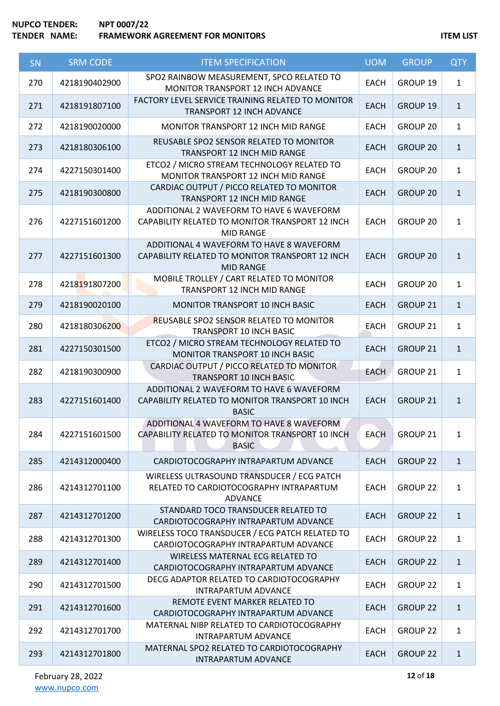| SN  | <b>SRM CODE</b> | <b>ITEM SPECIFICATION</b>                                                                                       | <b>UOM</b>  | <b>GROUP</b>    | <b>QTY</b>   |
|-----|-----------------|-----------------------------------------------------------------------------------------------------------------|-------------|-----------------|--------------|
| 270 | 4218190402900   | SPO2 RAINBOW MEASUREMENT, SPCO RELATED TO<br>MONITOR TRANSPORT 12 INCH ADVANCE                                  | <b>EACH</b> | GROUP 19        | $\mathbf{1}$ |
| 271 | 4218191807100   | FACTORY LEVEL SERVICE TRAINING RELATED TO MONITOR<br>TRANSPORT 12 INCH ADVANCE                                  | <b>EACH</b> | GROUP 19        | $\mathbf{1}$ |
| 272 | 4218190020000   | MONITOR TRANSPORT 12 INCH MID RANGE                                                                             | <b>EACH</b> | GROUP 20        | $\mathbf{1}$ |
| 273 | 4218180306100   | REUSABLE SPO2 SENSOR RELATED TO MONITOR<br>TRANSPORT 12 INCH MID RANGE                                          | <b>EACH</b> | GROUP 20        | $\mathbf{1}$ |
| 274 | 4227150301400   | ETCO2 / MICRO STREAM TECHNOLOGY RELATED TO<br>MONITOR TRANSPORT 12 INCH MID RANGE                               | <b>EACH</b> | GROUP 20        | $\mathbf{1}$ |
| 275 | 4218190300800   | CARDIAC OUTPUT / PICCO RELATED TO MONITOR<br>TRANSPORT 12 INCH MID RANGE                                        | <b>EACH</b> | <b>GROUP 20</b> | $\mathbf{1}$ |
| 276 | 4227151601200   | ADDITIONAL 2 WAVEFORM TO HAVE 6 WAVEFORM<br>CAPABILITY RELATED TO MONITOR TRANSPORT 12 INCH<br><b>MID RANGE</b> | <b>EACH</b> | GROUP 20        | $\mathbf{1}$ |
| 277 | 4227151601300   | ADDITIONAL 4 WAVEFORM TO HAVE 8 WAVEFORM<br>CAPABILITY RELATED TO MONITOR TRANSPORT 12 INCH<br><b>MID RANGE</b> | <b>EACH</b> | <b>GROUP 20</b> | $\mathbf{1}$ |
| 278 | 4218191807200   | MOBILE TROLLEY / CART RELATED TO MONITOR<br>TRANSPORT 12 INCH MID RANGE                                         | <b>EACH</b> | <b>GROUP 20</b> | $\mathbf{1}$ |
| 279 | 4218190020100   | MONITOR TRANSPORT 10 INCH BASIC                                                                                 | <b>EACH</b> | GROUP 21        | $\mathbf{1}$ |
| 280 | 4218180306200   | REUSABLE SPO2 SENSOR RELATED TO MONITOR<br>TRANSPORT 10 INCH BASIC                                              | <b>EACH</b> | GROUP 21        | $\mathbf{1}$ |
| 281 | 4227150301500   | ETCO2 / MICRO STREAM TECHNOLOGY RELATED TO<br>MONITOR TRANSPORT 10 INCH BASIC                                   | <b>EACH</b> | GROUP 21        | $\mathbf{1}$ |
| 282 | 4218190300900   | CARDIAC OUTPUT / PICCO RELATED TO MONITOR<br><b>TRANSPORT 10 INCH BASIC</b>                                     | <b>EACH</b> | GROUP 21        | $\mathbf{1}$ |
| 283 | 4227151601400   | ADDITIONAL 2 WAVEFORM TO HAVE 6 WAVEFORM<br>CAPABILITY RELATED TO MONITOR TRANSPORT 10 INCH<br><b>BASIC</b>     | <b>EACH</b> | GROUP 21        | $\mathbf{1}$ |
| 284 | 4227151601500   | ADDITIONAL 4 WAVEFORM TO HAVE 8 WAVEFORM<br>CAPABILITY RELATED TO MONITOR TRANSPORT 10 INCH<br><b>BASIC</b>     | <b>EACH</b> | GROUP 21        | $\mathbf{1}$ |
| 285 | 4214312000400   | CARDIOTOCOGRAPHY INTRAPARTUM ADVANCE                                                                            | <b>EACH</b> | <b>GROUP 22</b> | $\mathbf{1}$ |
| 286 | 4214312701100   | WIRELESS ULTRASOUND TRANSDUCER / ECG PATCH<br>RELATED TO CARDIOTOCOGRAPHY INTRAPARTUM<br><b>ADVANCE</b>         | <b>EACH</b> | <b>GROUP 22</b> | $\mathbf{1}$ |
| 287 | 4214312701200   | STANDARD TOCO TRANSDUCER RELATED TO<br>CARDIOTOCOGRAPHY INTRAPARTUM ADVANCE                                     | <b>EACH</b> | <b>GROUP 22</b> | $\mathbf{1}$ |
| 288 | 4214312701300   | WIRELESS TOCO TRANSDUCER / ECG PATCH RELATED TO<br>CARDIOTOCOGRAPHY INTRAPARTUM ADVANCE                         | <b>EACH</b> | GROUP 22        | $\mathbf{1}$ |
| 289 | 4214312701400   | WIRELESS MATERNAL ECG RELATED TO<br>CARDIOTOCOGRAPHY INTRAPARTUM ADVANCE                                        | <b>EACH</b> | <b>GROUP 22</b> | $\mathbf{1}$ |
| 290 | 4214312701500   | DECG ADAPTOR RELATED TO CARDIOTOCOGRAPHY<br>INTRAPARTUM ADVANCE                                                 | <b>EACH</b> | <b>GROUP 22</b> | $\mathbf{1}$ |
| 291 | 4214312701600   | REMOTE EVENT MARKER RELATED TO<br>CARDIOTOCOGRAPHY INTRAPARTUM ADVANCE                                          | <b>EACH</b> | <b>GROUP 22</b> | $\mathbf{1}$ |
| 292 | 4214312701700   | MATERNAL NIBP RELATED TO CARDIOTOCOGRAPHY<br>INTRAPARTUM ADVANCE                                                | <b>EACH</b> | <b>GROUP 22</b> | $\mathbf{1}$ |
| 293 | 4214312701800   | MATERNAL SPO2 RELATED TO CARDIOTOCOGRAPHY<br>INTRAPARTUM ADVANCE                                                | <b>EACH</b> | <b>GROUP 22</b> | $\mathbf{1}$ |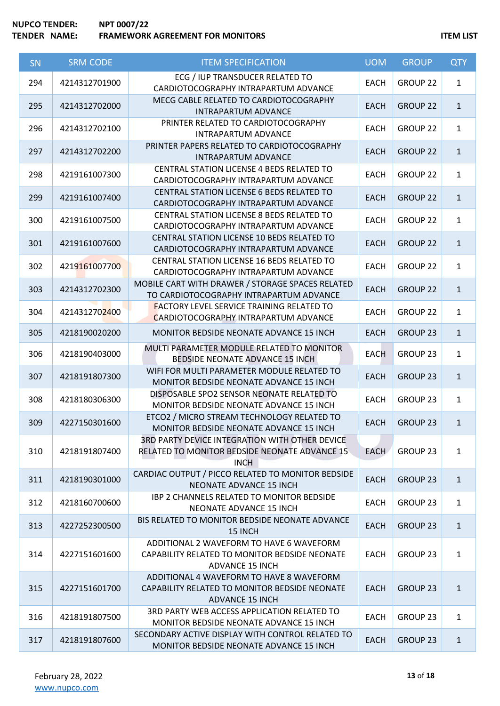| SN  | <b>SRM CODE</b> | <b>ITEM SPECIFICATION</b>                                                                                           | <b>UOM</b>  | <b>GROUP</b>        | <b>QTY</b>   |
|-----|-----------------|---------------------------------------------------------------------------------------------------------------------|-------------|---------------------|--------------|
| 294 | 4214312701900   | ECG / IUP TRANSDUCER RELATED TO<br>CARDIOTOCOGRAPHY INTRAPARTUM ADVANCE                                             | <b>EACH</b> | <b>GROUP 22</b>     | $\mathbf{1}$ |
| 295 | 4214312702000   | MECG CABLE RELATED TO CARDIOTOCOGRAPHY<br><b>INTRAPARTUM ADVANCE</b>                                                | <b>EACH</b> | <b>GROUP 22</b>     | $\mathbf{1}$ |
| 296 | 4214312702100   | PRINTER RELATED TO CARDIOTOCOGRAPHY<br><b>INTRAPARTUM ADVANCE</b>                                                   | <b>EACH</b> | GROUP 22            | $\mathbf{1}$ |
| 297 | 4214312702200   | PRINTER PAPERS RELATED TO CARDIOTOCOGRAPHY<br><b>INTRAPARTUM ADVANCE</b>                                            | <b>EACH</b> | <b>GROUP 22</b>     | $\mathbf{1}$ |
| 298 | 4219161007300   | <b>CENTRAL STATION LICENSE 4 BEDS RELATED TO</b><br>CARDIOTOCOGRAPHY INTRAPARTUM ADVANCE                            | <b>EACH</b> | GROUP <sub>22</sub> | $\mathbf{1}$ |
| 299 | 4219161007400   | CENTRAL STATION LICENSE 6 BEDS RELATED TO<br>CARDIOTOCOGRAPHY INTRAPARTUM ADVANCE                                   | <b>EACH</b> | <b>GROUP 22</b>     | $\mathbf{1}$ |
| 300 | 4219161007500   | CENTRAL STATION LICENSE 8 BEDS RELATED TO<br>CARDIOTOCOGRAPHY INTRAPARTUM ADVANCE                                   | <b>EACH</b> | GROUP <sub>22</sub> | $\mathbf{1}$ |
| 301 | 4219161007600   | CENTRAL STATION LICENSE 10 BEDS RELATED TO<br>CARDIOTOCOGRAPHY INTRAPARTUM ADVANCE                                  | <b>EACH</b> | <b>GROUP 22</b>     | $\mathbf{1}$ |
| 302 | 4219161007700   | CENTRAL STATION LICENSE 16 BEDS RELATED TO<br>CARDIOTOCOGRAPHY INTRAPARTUM ADVANCE                                  | <b>EACH</b> | GROUP <sub>22</sub> | $\mathbf{1}$ |
| 303 | 4214312702300   | MOBILE CART WITH DRAWER / STORAGE SPACES RELATED<br>TO CARDIOTOCOGRAPHY INTRAPARTUM ADVANCE                         | <b>EACH</b> | <b>GROUP 22</b>     | $\mathbf{1}$ |
| 304 | 4214312702400   | <b>FACTORY LEVEL SERVICE TRAINING RELATED TO</b><br>CARDIOTOCOGRAPHY INTRAPARTUM ADVANCE                            | <b>EACH</b> | GROUP <sub>22</sub> | $\mathbf{1}$ |
| 305 | 4218190020200   | MONITOR BEDSIDE NEONATE ADVANCE 15 INCH                                                                             | <b>EACH</b> | GROUP 23            | $\mathbf{1}$ |
| 306 | 4218190403000   | MULTI PARAMETER MODULE RELATED TO MONITOR<br>BEDSIDE NEONATE ADVANCE 15 INCH                                        | <b>EACH</b> | GROUP <sub>23</sub> | $\mathbf{1}$ |
| 307 | 4218191807300   | WIFI FOR MULTI PARAMETER MODULE RELATED TO<br>MONITOR BEDSIDE NEONATE ADVANCE 15 INCH                               | <b>EACH</b> | <b>GROUP 23</b>     | $\mathbf{1}$ |
| 308 | 4218180306300   | DISPOSABLE SPO2 SENSOR NEONATE RELATED TO<br>MONITOR BEDSIDE NEONATE ADVANCE 15 INCH                                | <b>EACH</b> | GROUP 23            | $\mathbf{1}$ |
| 309 | 4227150301600   | ETCO2 / MICRO STREAM TECHNOLOGY RELATED TO<br>MONITOR BEDSIDE NEONATE ADVANCE 15 INCH.                              | <b>EACH</b> | <b>GROUP 23</b>     | $\mathbf{1}$ |
| 310 | 4218191807400   | 3RD PARTY DEVICE INTEGRATION WITH OTHER DEVICE<br>RELATED TO MONITOR BEDSIDE NEONATE ADVANCE 15<br><b>INCH</b>      | <b>EACH</b> | <b>GROUP 23</b>     | $\mathbf{1}$ |
| 311 | 4218190301000   | CARDIAC OUTPUT / PICCO RELATED TO MONITOR BEDSIDE<br>NEONATE ADVANCE 15 INCH                                        | <b>EACH</b> | <b>GROUP 23</b>     | $\mathbf{1}$ |
| 312 | 4218160700600   | <b>IBP 2 CHANNELS RELATED TO MONITOR BEDSIDE</b><br>NEONATE ADVANCE 15 INCH                                         | <b>EACH</b> | GROUP <sub>23</sub> | $\mathbf{1}$ |
| 313 | 4227252300500   | BIS RELATED TO MONITOR BEDSIDE NEONATE ADVANCE<br>15 INCH                                                           | <b>EACH</b> | <b>GROUP 23</b>     | $\mathbf{1}$ |
| 314 | 4227151601600   | ADDITIONAL 2 WAVEFORM TO HAVE 6 WAVEFORM<br>CAPABILITY RELATED TO MONITOR BEDSIDE NEONATE<br><b>ADVANCE 15 INCH</b> | <b>EACH</b> | GROUP <sub>23</sub> | $\mathbf{1}$ |
| 315 | 4227151601700   | ADDITIONAL 4 WAVEFORM TO HAVE 8 WAVEFORM<br>CAPABILITY RELATED TO MONITOR BEDSIDE NEONATE<br><b>ADVANCE 15 INCH</b> | <b>EACH</b> | <b>GROUP 23</b>     | $\mathbf{1}$ |
| 316 | 4218191807500   | 3RD PARTY WEB ACCESS APPLICATION RELATED TO<br>MONITOR BEDSIDE NEONATE ADVANCE 15 INCH                              | <b>EACH</b> | GROUP 23            | $\mathbf{1}$ |
| 317 | 4218191807600   | SECONDARY ACTIVE DISPLAY WITH CONTROL RELATED TO<br>MONITOR BEDSIDE NEONATE ADVANCE 15 INCH                         | <b>EACH</b> | <b>GROUP 23</b>     | $\mathbf{1}$ |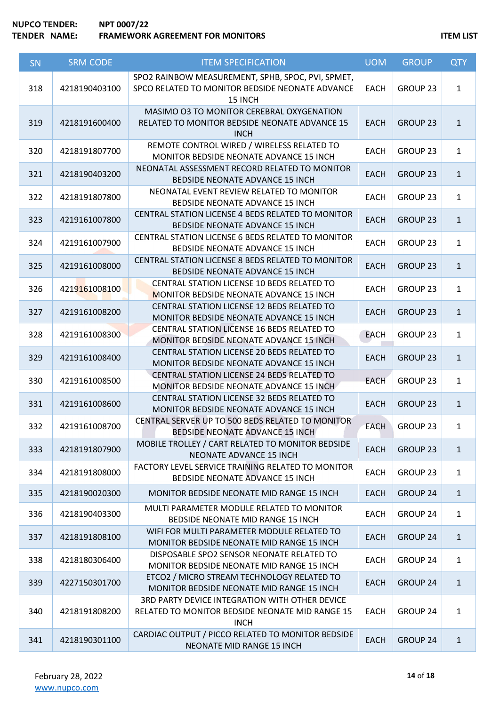| SN  | <b>SRM CODE</b> | <b>ITEM SPECIFICATION</b>                                                                                        | <b>UOM</b>  | <b>GROUP</b>        | <b>QTY</b>   |
|-----|-----------------|------------------------------------------------------------------------------------------------------------------|-------------|---------------------|--------------|
| 318 | 4218190403100   | SPO2 RAINBOW MEASUREMENT, SPHB, SPOC, PVI, SPMET,<br>SPCO RELATED TO MONITOR BEDSIDE NEONATE ADVANCE<br>15 INCH  | <b>EACH</b> | GROUP 23            | $\mathbf{1}$ |
| 319 | 4218191600400   | MASIMO O3 TO MONITOR CEREBRAL OXYGENATION<br>RELATED TO MONITOR BEDSIDE NEONATE ADVANCE 15<br><b>INCH</b>        | <b>EACH</b> | <b>GROUP 23</b>     | $\mathbf{1}$ |
| 320 | 4218191807700   | REMOTE CONTROL WIRED / WIRELESS RELATED TO<br>MONITOR BEDSIDE NEONATE ADVANCE 15 INCH                            | <b>EACH</b> | GROUP <sub>23</sub> | $\mathbf{1}$ |
| 321 | 4218190403200   | NEONATAL ASSESSMENT RECORD RELATED TO MONITOR<br>BEDSIDE NEONATE ADVANCE 15 INCH                                 | <b>EACH</b> | <b>GROUP 23</b>     | $\mathbf{1}$ |
| 322 | 4218191807800   | NEONATAL EVENT REVIEW RELATED TO MONITOR<br>BEDSIDE NEONATE ADVANCE 15 INCH                                      | <b>EACH</b> | GROUP <sub>23</sub> | $\mathbf{1}$ |
| 323 | 4219161007800   | CENTRAL STATION LICENSE 4 BEDS RELATED TO MONITOR<br>BEDSIDE NEONATE ADVANCE 15 INCH                             | <b>EACH</b> | GROUP 23            | $\mathbf{1}$ |
| 324 | 4219161007900   | CENTRAL STATION LICENSE 6 BEDS RELATED TO MONITOR<br>BEDSIDE NEONATE ADVANCE 15 INCH                             | <b>EACH</b> | <b>GROUP 23</b>     | $\mathbf{1}$ |
| 325 | 4219161008000   | CENTRAL STATION LICENSE 8 BEDS RELATED TO MONITOR<br>BEDSIDE NEONATE ADVANCE 15 INCH                             | <b>EACH</b> | <b>GROUP 23</b>     | $\mathbf{1}$ |
| 326 | 4219161008100   | CENTRAL STATION LICENSE 10 BEDS RELATED TO<br>MONITOR BEDSIDE NEONATE ADVANCE 15 INCH                            | <b>EACH</b> | GROUP <sub>23</sub> | $\mathbf{1}$ |
| 327 | 4219161008200   | CENTRAL STATION LICENSE 12 BEDS RELATED TO<br>MONITOR BEDSIDE NEONATE ADVANCE 15 INCH                            | <b>EACH</b> | <b>GROUP 23</b>     | $\mathbf{1}$ |
| 328 | 4219161008300   | CENTRAL STATION LICENSE 16 BEDS RELATED TO<br>MONITOR BEDSIDE NEONATE ADVANCE 15 INCH                            | <b>EACH</b> | <b>GROUP 23</b>     | $\mathbf{1}$ |
| 329 | 4219161008400   | CENTRAL STATION LICENSE 20 BEDS RELATED TO<br>MONITOR BEDSIDE NEONATE ADVANCE 15 INCH                            | <b>EACH</b> | <b>GROUP 23</b>     | $\mathbf{1}$ |
| 330 | 4219161008500   | CENTRAL STATION LICENSE 24 BEDS RELATED TO<br>MONITOR BEDSIDE NEONATE ADVANCE 15 INCH                            | <b>EACH</b> | GROUP 23            | $\mathbf{1}$ |
| 331 | 4219161008600   | CENTRAL STATION LICENSE 32 BEDS RELATED TO<br>MONITOR BEDSIDE NEONATE ADVANCE 15 INCH                            | <b>EACH</b> | <b>GROUP 23</b>     | $\mathbf{1}$ |
| 332 | 4219161008700   | CENTRAL SERVER UP TO 500 BEDS RELATED TO MONITOR<br>BEDSIDE NEONATE ADVANCE 15 INCH                              | <b>EACH</b> | GROUP 23            | 1            |
| 333 | 4218191807900   | MOBILE TROLLEY / CART RELATED TO MONITOR BEDSIDE<br>NEONATE ADVANCE 15 INCH                                      | <b>EACH</b> | <b>GROUP 23</b>     | $\mathbf{1}$ |
| 334 | 4218191808000   | FACTORY LEVEL SERVICE TRAINING RELATED TO MONITOR<br>BEDSIDE NEONATE ADVANCE 15 INCH                             | <b>EACH</b> | GROUP <sub>23</sub> | $\mathbf{1}$ |
| 335 | 4218190020300   | <b>MONITOR BEDSIDE NEONATE MID RANGE 15 INCH</b>                                                                 | <b>EACH</b> | <b>GROUP 24</b>     | $\mathbf{1}$ |
| 336 | 4218190403300   | MULTI PARAMETER MODULE RELATED TO MONITOR<br>BEDSIDE NEONATE MID RANGE 15 INCH                                   | <b>EACH</b> | GROUP <sub>24</sub> | $\mathbf{1}$ |
| 337 | 4218191808100   | WIFI FOR MULTI PARAMETER MODULE RELATED TO<br>MONITOR BEDSIDE NEONATE MID RANGE 15 INCH                          | <b>EACH</b> | GROUP 24            | $\mathbf{1}$ |
| 338 | 4218180306400   | DISPOSABLE SPO2 SENSOR NEONATE RELATED TO<br>MONITOR BEDSIDE NEONATE MID RANGE 15 INCH                           | <b>EACH</b> | GROUP <sub>24</sub> | $\mathbf{1}$ |
| 339 | 4227150301700   | ETCO2 / MICRO STREAM TECHNOLOGY RELATED TO<br>MONITOR BEDSIDE NEONATE MID RANGE 15 INCH                          | <b>EACH</b> | <b>GROUP 24</b>     | $\mathbf{1}$ |
| 340 | 4218191808200   | 3RD PARTY DEVICE INTEGRATION WITH OTHER DEVICE<br>RELATED TO MONITOR BEDSIDE NEONATE MID RANGE 15<br><b>INCH</b> | <b>EACH</b> | <b>GROUP 24</b>     | $\mathbf{1}$ |
| 341 | 4218190301100   | CARDIAC OUTPUT / PICCO RELATED TO MONITOR BEDSIDE<br>NEONATE MID RANGE 15 INCH                                   | <b>EACH</b> | <b>GROUP 24</b>     | $\mathbf{1}$ |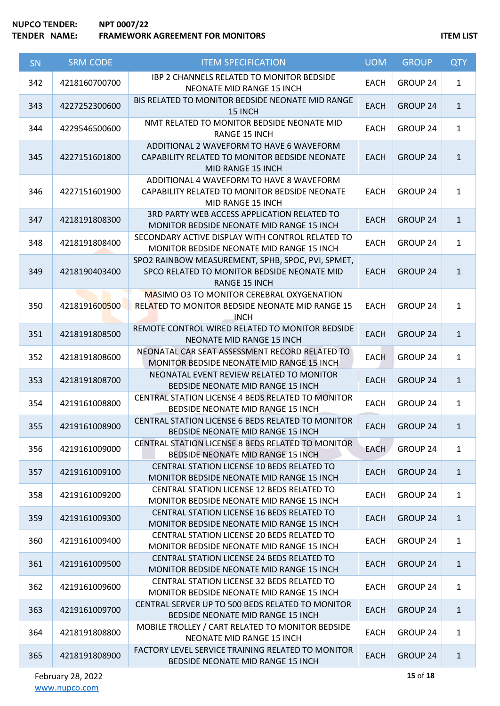# **NUPCO TENDER: NPT 0007/22 TENDER NAME:** FRAMEWORK AGREEMENT FOR MONITORS **ITEM LIST**

| SN  | <b>SRM CODE</b> | <b>ITEM SPECIFICATION</b>                                                                                                | <b>UOM</b>  | <b>GROUP</b>    | <b>QTY</b>   |
|-----|-----------------|--------------------------------------------------------------------------------------------------------------------------|-------------|-----------------|--------------|
| 342 | 4218160700700   | <b>IBP 2 CHANNELS RELATED TO MONITOR BEDSIDE</b><br>NEONATE MID RANGE 15 INCH                                            | <b>EACH</b> | GROUP 24        | $\mathbf{1}$ |
| 343 | 4227252300600   | BIS RELATED TO MONITOR BEDSIDE NEONATE MID RANGE<br>15 INCH                                                              | <b>EACH</b> | <b>GROUP 24</b> | $\mathbf{1}$ |
| 344 | 4229546500600   | NMT RELATED TO MONITOR BEDSIDE NEONATE MID<br>RANGE 15 INCH                                                              | <b>EACH</b> | GROUP 24        | $\mathbf{1}$ |
| 345 | 4227151601800   | ADDITIONAL 2 WAVEFORM TO HAVE 6 WAVEFORM<br>CAPABILITY RELATED TO MONITOR BEDSIDE NEONATE<br>MID RANGE 15 INCH           | <b>EACH</b> | <b>GROUP 24</b> | $\mathbf{1}$ |
| 346 | 4227151601900   | ADDITIONAL 4 WAVEFORM TO HAVE 8 WAVEFORM<br>CAPABILITY RELATED TO MONITOR BEDSIDE NEONATE<br>MID RANGE 15 INCH           | <b>EACH</b> | GROUP 24        | $\mathbf{1}$ |
| 347 | 4218191808300   | 3RD PARTY WEB ACCESS APPLICATION RELATED TO<br>MONITOR BEDSIDE NEONATE MID RANGE 15 INCH                                 | <b>EACH</b> | <b>GROUP 24</b> | $\mathbf{1}$ |
| 348 | 4218191808400   | SECONDARY ACTIVE DISPLAY WITH CONTROL RELATED TO<br>MONITOR BEDSIDE NEONATE MID RANGE 15 INCH                            | <b>EACH</b> | <b>GROUP 24</b> | $\mathbf{1}$ |
| 349 | 4218190403400   | SPO2 RAINBOW MEASUREMENT, SPHB, SPOC, PVI, SPMET,<br>SPCO RELATED TO MONITOR BEDSIDE NEONATE MID<br><b>RANGE 15 INCH</b> | <b>EACH</b> | <b>GROUP 24</b> | $\mathbf{1}$ |
| 350 | 4218191600500   | <b>MASIMO O3 TO MONITOR CEREBRAL OXYGENATION</b><br>RELATED TO MONITOR BEDSIDE NEONATE MID RANGE 15<br><b>INCH</b>       | <b>EACH</b> | <b>GROUP 24</b> | $\mathbf{1}$ |
| 351 | 4218191808500   | REMOTE CONTROL WIRED RELATED TO MONITOR BEDSIDE<br>NEONATE MID RANGE 15 INCH                                             | <b>EACH</b> | <b>GROUP 24</b> | $\mathbf{1}$ |
| 352 | 4218191808600   | NEONATAL CAR SEAT ASSESSMENT RECORD RELATED TO<br>MONITOR BEDSIDE NEONATE MID RANGE 15 INCH                              | <b>EACH</b> | <b>GROUP 24</b> | $\mathbf{1}$ |
| 353 | 4218191808700   | NEONATAL EVENT REVIEW RELATED TO MONITOR<br>BEDSIDE NEONATE MID RANGE 15 INCH                                            | <b>EACH</b> | <b>GROUP 24</b> | $\mathbf{1}$ |
| 354 | 4219161008800   | CENTRAL STATION LICENSE 4 BEDS RELATED TO MONITOR<br>BEDSIDE NEONATE MID RANGE 15 INCH                                   | <b>EACH</b> | GROUP 24        | $\mathbf{1}$ |
| 355 | 4219161008900   | CENTRAL STATION LICENSE 6 BEDS RELATED TO MONITOR<br>BEDSIDE NEONATE MID RANGE 15 INCH                                   | <b>EACH</b> | GROUP 24        | 1            |
| 356 | 4219161009000   | CENTRAL STATION LICENSE 8 BEDS RELATED TO MONITOR<br><b>BEDSIDE NEONATE MID RANGE 15 INCH</b>                            | <b>EACH</b> | GROUP 24        | $\mathbf{1}$ |
| 357 | 4219161009100   | CENTRAL STATION LICENSE 10 BEDS RELATED TO<br>MONITOR BEDSIDE NEONATE MID RANGE 15 INCH                                  | <b>EACH</b> | <b>GROUP 24</b> | $\mathbf{1}$ |
| 358 | 4219161009200   | <b>CENTRAL STATION LICENSE 12 BEDS RELATED TO</b><br><b>MONITOR BEDSIDE NEONATE MID RANGE 15 INCH</b>                    | <b>EACH</b> | GROUP 24        | $\mathbf{1}$ |
| 359 | 4219161009300   | <b>CENTRAL STATION LICENSE 16 BEDS RELATED TO</b><br>MONITOR BEDSIDE NEONATE MID RANGE 15 INCH                           | <b>EACH</b> | <b>GROUP 24</b> | $\mathbf{1}$ |
| 360 | 4219161009400   | <b>CENTRAL STATION LICENSE 20 BEDS RELATED TO</b><br>MONITOR BEDSIDE NEONATE MID RANGE 15 INCH                           | <b>EACH</b> | GROUP 24        | $\mathbf{1}$ |
| 361 | 4219161009500   | <b>CENTRAL STATION LICENSE 24 BEDS RELATED TO</b><br>MONITOR BEDSIDE NEONATE MID RANGE 15 INCH                           | <b>EACH</b> | <b>GROUP 24</b> | $\mathbf{1}$ |
| 362 | 4219161009600   | CENTRAL STATION LICENSE 32 BEDS RELATED TO<br>MONITOR BEDSIDE NEONATE MID RANGE 15 INCH                                  | <b>EACH</b> | GROUP 24        | $\mathbf{1}$ |
| 363 | 4219161009700   | CENTRAL SERVER UP TO 500 BEDS RELATED TO MONITOR<br>BEDSIDE NEONATE MID RANGE 15 INCH                                    | <b>EACH</b> | <b>GROUP 24</b> | $\mathbf{1}$ |
| 364 | 4218191808800   | MOBILE TROLLEY / CART RELATED TO MONITOR BEDSIDE<br>NEONATE MID RANGE 15 INCH                                            | <b>EACH</b> | GROUP 24        | $\mathbf{1}$ |
| 365 | 4218191808900   | FACTORY LEVEL SERVICE TRAINING RELATED TO MONITOR<br>BEDSIDE NEONATE MID RANGE 15 INCH                                   | <b>EACH</b> | <b>GROUP 24</b> | $\mathbf{1}$ |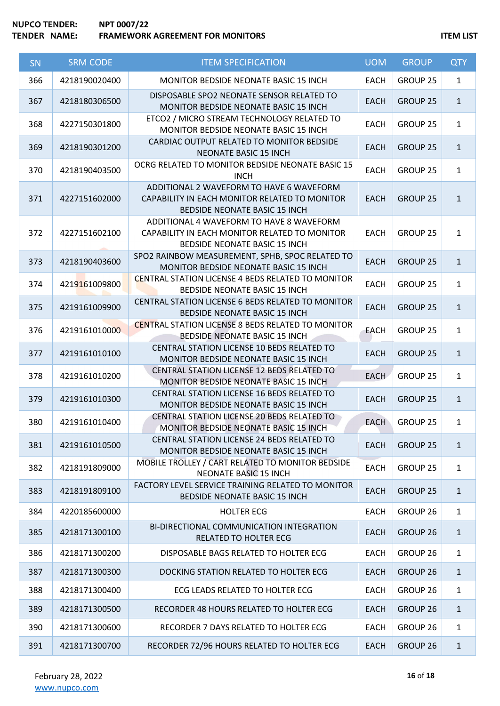| SN  | <b>SRM CODE</b> | <b>ITEM SPECIFICATION</b>                                                                                                         | <b>UOM</b>  | <b>GROUP</b>        | <b>QTY</b>   |
|-----|-----------------|-----------------------------------------------------------------------------------------------------------------------------------|-------------|---------------------|--------------|
| 366 | 4218190020400   | <b>MONITOR BEDSIDE NEONATE BASIC 15 INCH</b>                                                                                      | <b>EACH</b> | GROUP 25            | $\mathbf{1}$ |
| 367 | 4218180306500   | DISPOSABLE SPO2 NEONATE SENSOR RELATED TO<br>MONITOR BEDSIDE NEONATE BASIC 15 INCH                                                | <b>EACH</b> | <b>GROUP 25</b>     | $\mathbf{1}$ |
| 368 | 4227150301800   | ETCO2 / MICRO STREAM TECHNOLOGY RELATED TO<br>MONITOR BEDSIDE NEONATE BASIC 15 INCH                                               | <b>EACH</b> | GROUP 25            | $\mathbf{1}$ |
| 369 | 4218190301200   | CARDIAC OUTPUT RELATED TO MONITOR BEDSIDE<br>NEONATE BASIC 15 INCH                                                                | <b>EACH</b> | <b>GROUP 25</b>     | $\mathbf{1}$ |
| 370 | 4218190403500   | OCRG RELATED TO MONITOR BEDSIDE NEONATE BASIC 15<br><b>INCH</b>                                                                   | <b>EACH</b> | <b>GROUP 25</b>     | $\mathbf{1}$ |
| 371 | 4227151602000   | ADDITIONAL 2 WAVEFORM TO HAVE 6 WAVEFORM<br>CAPABILITY IN EACH MONITOR RELATED TO MONITOR<br><b>BEDSIDE NEONATE BASIC 15 INCH</b> | <b>EACH</b> | <b>GROUP 25</b>     | $\mathbf{1}$ |
| 372 | 4227151602100   | ADDITIONAL 4 WAVEFORM TO HAVE 8 WAVEFORM<br>CAPABILITY IN EACH MONITOR RELATED TO MONITOR<br><b>BEDSIDE NEONATE BASIC 15 INCH</b> | <b>EACH</b> | GROUP 25            | $\mathbf{1}$ |
| 373 | 4218190403600   | SPO2 RAINBOW MEASUREMENT, SPHB, SPOC RELATED TO<br>MONITOR BEDSIDE NEONATE BASIC 15 INCH                                          | <b>EACH</b> | <b>GROUP 25</b>     | $\mathbf{1}$ |
| 374 | 4219161009800   | <b>CENTRAL STATION LICENSE 4 BEDS RELATED TO MONITOR</b><br>BEDSIDE NEONATE BASIC 15 INCH                                         | <b>EACH</b> | <b>GROUP 25</b>     | $\mathbf{1}$ |
| 375 | 4219161009900   | CENTRAL STATION LICENSE 6 BEDS RELATED TO MONITOR<br>BEDSIDE NEONATE BASIC 15 INCH                                                | <b>EACH</b> | <b>GROUP 25</b>     | $\mathbf{1}$ |
| 376 | 4219161010000   | <b>CENTRAL STATION LICENSE 8 BEDS RELATED TO MONITOR</b><br>BEDSIDE NEONATE BASIC 15 INCH                                         | <b>EACH</b> | GROUP 25            | $\mathbf{1}$ |
| 377 | 4219161010100   | CENTRAL STATION LICENSE 10 BEDS RELATED TO<br>MONITOR BEDSIDE NEONATE BASIC 15 INCH                                               | <b>EACH</b> | <b>GROUP 25</b>     | $\mathbf{1}$ |
| 378 | 4219161010200   | CENTRAL STATION LICENSE 12 BEDS RELATED TO<br>MONITOR BEDSIDE NEONATE BASIC 15 INCH                                               | <b>EACH</b> | GROUP 25            | $\mathbf{1}$ |
| 379 | 4219161010300   | CENTRAL STATION LICENSE 16 BEDS RELATED TO<br>MONITOR BEDSIDE NEONATE BASIC 15 INCH                                               | <b>EACH</b> | <b>GROUP 25</b>     | $\mathbf{1}$ |
| 380 | 4219161010400   | CENTRAL STATION LICENSE 20 BEDS RELATED TO<br>MONITOR BEDSIDE NEONATE BASIC 15 INCH                                               | <b>EACH</b> | <b>GROUP 25</b>     | $\mathbf{1}$ |
| 381 | 4219161010500   | <b>CENTRAL STATION LICENSE 24 BEDS RELATED TO</b><br>MONITOR BEDSIDE NEONATE BASIC 15 INCH                                        | <b>EACH</b> | GROUP 25            | $\mathbf{1}$ |
| 382 | 4218191809000   | MOBILE TROLLEY / CART RELATED TO MONITOR BEDSIDE<br><b>NEONATE BASIC 15 INCH</b>                                                  | <b>EACH</b> | <b>GROUP 25</b>     | $\mathbf{1}$ |
| 383 | 4218191809100   | FACTORY LEVEL SERVICE TRAINING RELATED TO MONITOR<br><b>BEDSIDE NEONATE BASIC 15 INCH</b>                                         | <b>EACH</b> | <b>GROUP 25</b>     | $\mathbf{1}$ |
| 384 | 4220185600000   | <b>HOLTER ECG</b>                                                                                                                 | <b>EACH</b> | GROUP <sub>26</sub> | $\mathbf{1}$ |
| 385 | 4218171300100   | BI-DIRECTIONAL COMMUNICATION INTEGRATION<br>RELATED TO HOLTER ECG                                                                 | <b>EACH</b> | <b>GROUP 26</b>     | $\mathbf{1}$ |
| 386 | 4218171300200   | DISPOSABLE BAGS RELATED TO HOLTER ECG                                                                                             | <b>EACH</b> | GROUP 26            | $\mathbf{1}$ |
| 387 | 4218171300300   | DOCKING STATION RELATED TO HOLTER ECG                                                                                             | <b>EACH</b> | GROUP 26            | $\mathbf{1}$ |
| 388 | 4218171300400   | ECG LEADS RELATED TO HOLTER ECG                                                                                                   | <b>EACH</b> | GROUP 26            | $\mathbf{1}$ |
| 389 | 4218171300500   | RECORDER 48 HOURS RELATED TO HOLTER ECG                                                                                           | <b>EACH</b> | GROUP 26            | $\mathbf{1}$ |
| 390 | 4218171300600   | RECORDER 7 DAYS RELATED TO HOLTER ECG                                                                                             | <b>EACH</b> | GROUP 26            | $\mathbf{1}$ |
| 391 | 4218171300700   | RECORDER 72/96 HOURS RELATED TO HOLTER ECG                                                                                        | <b>EACH</b> | GROUP 26            | $\mathbf{1}$ |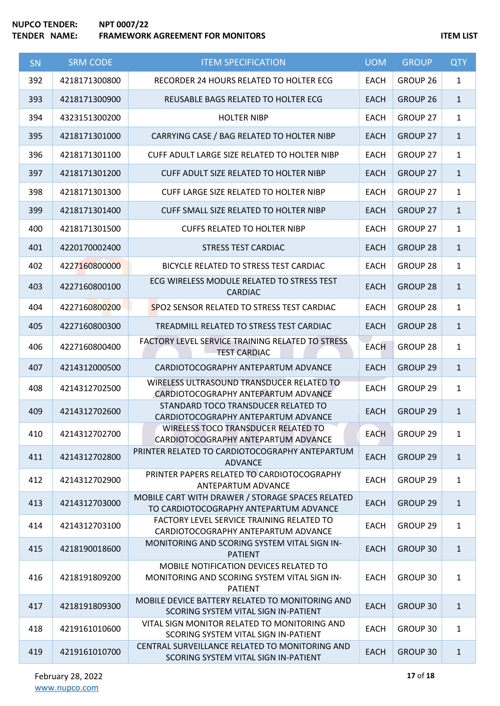| SN  | <b>SRM CODE</b> | <b>ITEM SPECIFICATION</b>                                                                                | <b>UOM</b>  | <b>GROUP</b>        | <b>QTY</b>   |
|-----|-----------------|----------------------------------------------------------------------------------------------------------|-------------|---------------------|--------------|
| 392 | 4218171300800   | RECORDER 24 HOURS RELATED TO HOLTER ECG                                                                  | <b>EACH</b> | GROUP <sub>26</sub> | $\mathbf{1}$ |
| 393 | 4218171300900   | REUSABLE BAGS RELATED TO HOLTER ECG                                                                      | <b>EACH</b> | GROUP 26            | $\mathbf{1}$ |
| 394 | 4323151300200   | <b>HOLTER NIBP</b>                                                                                       | <b>EACH</b> | GROUP 27            | $\mathbf{1}$ |
| 395 | 4218171301000   | CARRYING CASE / BAG RELATED TO HOLTER NIBP                                                               | <b>EACH</b> | <b>GROUP 27</b>     | $\mathbf{1}$ |
| 396 | 4218171301100   | CUFF ADULT LARGE SIZE RELATED TO HOLTER NIBP                                                             | <b>EACH</b> | GROUP 27            | $\mathbf{1}$ |
| 397 | 4218171301200   | CUFF ADULT SIZE RELATED TO HOLTER NIBP                                                                   | <b>EACH</b> | GROUP 27            | $\mathbf{1}$ |
| 398 | 4218171301300   | CUFF LARGE SIZE RELATED TO HOLTER NIBP                                                                   | <b>EACH</b> | GROUP 27            | $\mathbf{1}$ |
| 399 | 4218171301400   | CUFF SMALL SIZE RELATED TO HOLTER NIBP                                                                   | <b>EACH</b> | GROUP 27            | $\mathbf{1}$ |
| 400 | 4218171301500   | <b>CUFFS RELATED TO HOLTER NIBP</b>                                                                      | <b>EACH</b> | GROUP 27            | $\mathbf{1}$ |
| 401 | 4220170002400   | <b>STRESS TEST CARDIAC</b>                                                                               | <b>EACH</b> | <b>GROUP 28</b>     | $\mathbf{1}$ |
| 402 | 4227160800000   | BICYCLE RELATED TO STRESS TEST CARDIAC                                                                   | <b>EACH</b> | GROUP 28            | $\mathbf{1}$ |
| 403 | 4227160800100   | ECG WIRELESS MODULE RELATED TO STRESS TEST<br><b>CARDIAC</b>                                             | <b>EACH</b> | <b>GROUP 28</b>     | $\mathbf{1}$ |
| 404 | 4227160800200   | SPO2 SENSOR RELATED TO STRESS TEST CARDIAC                                                               | <b>EACH</b> | GROUP 28            | $\mathbf{1}$ |
| 405 | 4227160800300   | TREADMILL RELATED TO STRESS TEST CARDIAC                                                                 | <b>EACH</b> | <b>GROUP 28</b>     | $\mathbf{1}$ |
| 406 | 4227160800400   | FACTORY LEVEL SERVICE TRAINING RELATED TO STRESS<br><b>TEST CARDIAC</b>                                  | <b>EACH</b> | GROUP 28            | $\mathbf{1}$ |
| 407 | 4214312000500   | CARDIOTOCOGRAPHY ANTEPARTUM ADVANCE                                                                      | <b>EACH</b> | GROUP 29            | $\mathbf{1}$ |
| 408 | 4214312702500   | WIRELESS ULTRASOUND TRANSDUCER RELATED TO<br>CARDIOTOCOGRAPHY ANTEPARTUM ADVANCE                         | <b>EACH</b> | GROUP 29            | $\mathbf{1}$ |
| 409 | 4214312702600   | STANDARD TOCO TRANSDUCER RELATED TO<br>CARDIOTOCOGRAPHY ANTEPARTUM ADVANCE                               | <b>EACH</b> | <b>GROUP 29</b>     | $\mathbf{1}$ |
| 410 | 4214312702700   | WIRELESS TOCO TRANSDUCER RELATED TO<br>CARDIOTOCOGRAPHY ANTEPARTUM ADVANCE                               | <b>EACH</b> | GROUP <sub>29</sub> | 1            |
| 411 | 4214312702800   | PRINTER RELATED TO CARDIOTOCOGRAPHY ANTEPARTUM<br><b>ADVANCE</b>                                         | <b>EACH</b> | GROUP 29            | $\mathbf{1}$ |
| 412 | 4214312702900   | PRINTER PAPERS RELATED TO CARDIOTOCOGRAPHY<br>ANTEPARTUM ADVANCE                                         | <b>EACH</b> | GROUP 29            | $\mathbf{1}$ |
| 413 | 4214312703000   | MOBILE CART WITH DRAWER / STORAGE SPACES RELATED<br>TO CARDIOTOCOGRAPHY ANTEPARTUM ADVANCE               | <b>EACH</b> | GROUP 29            | $\mathbf{1}$ |
| 414 | 4214312703100   | FACTORY LEVEL SERVICE TRAINING RELATED TO<br>CARDIOTOCOGRAPHY ANTEPARTUM ADVANCE                         | <b>EACH</b> | GROUP 29            | $\mathbf{1}$ |
| 415 | 4218190018600   | MONITORING AND SCORING SYSTEM VITAL SIGN IN-<br><b>PATIENT</b>                                           | <b>EACH</b> | <b>GROUP 30</b>     | $\mathbf{1}$ |
| 416 | 4218191809200   | MOBILE NOTIFICATION DEVICES RELATED TO<br>MONITORING AND SCORING SYSTEM VITAL SIGN IN-<br><b>PATIENT</b> | <b>EACH</b> | GROUP 30            | $\mathbf{1}$ |
| 417 | 4218191809300   | MOBILE DEVICE BATTERY RELATED TO MONITORING AND<br>SCORING SYSTEM VITAL SIGN IN-PATIENT                  | <b>EACH</b> | <b>GROUP 30</b>     | $\mathbf{1}$ |
| 418 | 4219161010600   | VITAL SIGN MONITOR RELATED TO MONITORING AND<br>SCORING SYSTEM VITAL SIGN IN-PATIENT                     | <b>EACH</b> | GROUP 30            | $\mathbf{1}$ |
| 419 | 4219161010700   | CENTRAL SURVEILLANCE RELATED TO MONITORING AND<br>SCORING SYSTEM VITAL SIGN IN-PATIENT                   | <b>EACH</b> | <b>GROUP 30</b>     | $\mathbf{1}$ |